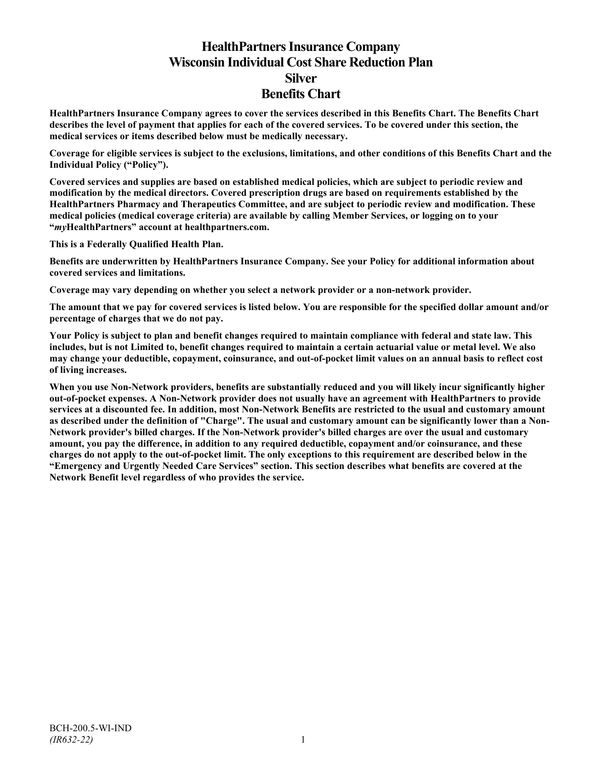# **HealthPartners Insurance Company Wisconsin Individual Cost Share Reduction Plan Silver Benefits Chart**

**HealthPartners Insurance Company agrees to cover the services described in this Benefits Chart. The Benefits Chart describes the level of payment that applies for each of the covered services. To be covered under this section, the medical services or items described below must be medically necessary.**

**Coverage for eligible services is subject to the exclusions, limitations, and other conditions of this Benefits Chart and the Individual Policy ("Policy").**

**Covered services and supplies are based on established medical policies, which are subject to periodic review and modification by the medical directors. Covered prescription drugs are based on requirements established by the HealthPartners Pharmacy and Therapeutics Committee, and are subject to periodic review and modification. These medical policies (medical coverage criteria) are available by calling Member Services, or logging on to your "***my***HealthPartners" account at [healthpartners.com.](http://www.healthpartners.com/)**

**This is a Federally Qualified Health Plan.**

**Benefits are underwritten by HealthPartners Insurance Company. See your Policy for additional information about covered services and limitations.**

**Coverage may vary depending on whether you select a network provider or a non-network provider.**

**The amount that we pay for covered services is listed below. You are responsible for the specified dollar amount and/or percentage of charges that we do not pay.**

**Your Policy is subject to plan and benefit changes required to maintain compliance with federal and state law. This includes, but is not Limited to, benefit changes required to maintain a certain actuarial value or metal level. We also may change your deductible, copayment, coinsurance, and out-of-pocket limit values on an annual basis to reflect cost of living increases.**

**When you use Non-Network providers, benefits are substantially reduced and you will likely incur significantly higher out-of-pocket expenses. A Non-Network provider does not usually have an agreement with HealthPartners to provide services at a discounted fee. In addition, most Non-Network Benefits are restricted to the usual and customary amount as described under the definition of "Charge". The usual and customary amount can be significantly lower than a Non-Network provider's billed charges. If the Non-Network provider's billed charges are over the usual and customary amount, you pay the difference, in addition to any required deductible, copayment and/or coinsurance, and these charges do not apply to the out-of-pocket limit. The only exceptions to this requirement are described below in the "Emergency and Urgently Needed Care Services" section. This section describes what benefits are covered at the Network Benefit level regardless of who provides the service.**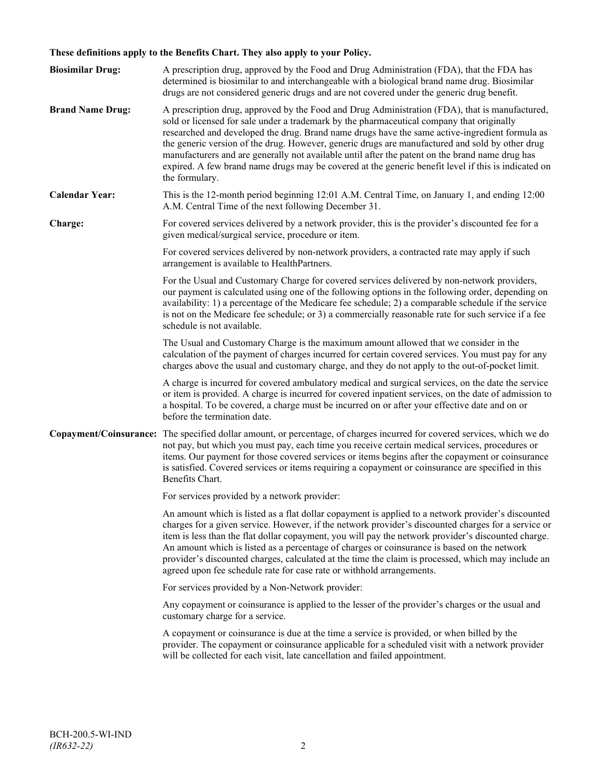# **These definitions apply to the Benefits Chart. They also apply to your Policy.**

| <b>Biosimilar Drug:</b> | A prescription drug, approved by the Food and Drug Administration (FDA), that the FDA has<br>determined is biosimilar to and interchangeable with a biological brand name drug. Biosimilar<br>drugs are not considered generic drugs and are not covered under the generic drug benefit.                                                                                                                                                                                                                                                                                                                                     |
|-------------------------|------------------------------------------------------------------------------------------------------------------------------------------------------------------------------------------------------------------------------------------------------------------------------------------------------------------------------------------------------------------------------------------------------------------------------------------------------------------------------------------------------------------------------------------------------------------------------------------------------------------------------|
| <b>Brand Name Drug:</b> | A prescription drug, approved by the Food and Drug Administration (FDA), that is manufactured,<br>sold or licensed for sale under a trademark by the pharmaceutical company that originally<br>researched and developed the drug. Brand name drugs have the same active-ingredient formula as<br>the generic version of the drug. However, generic drugs are manufactured and sold by other drug<br>manufacturers and are generally not available until after the patent on the brand name drug has<br>expired. A few brand name drugs may be covered at the generic benefit level if this is indicated on<br>the formulary. |
| <b>Calendar Year:</b>   | This is the 12-month period beginning 12:01 A.M. Central Time, on January 1, and ending 12:00<br>A.M. Central Time of the next following December 31.                                                                                                                                                                                                                                                                                                                                                                                                                                                                        |
| Charge:                 | For covered services delivered by a network provider, this is the provider's discounted fee for a<br>given medical/surgical service, procedure or item.                                                                                                                                                                                                                                                                                                                                                                                                                                                                      |
|                         | For covered services delivered by non-network providers, a contracted rate may apply if such<br>arrangement is available to HealthPartners.                                                                                                                                                                                                                                                                                                                                                                                                                                                                                  |
|                         | For the Usual and Customary Charge for covered services delivered by non-network providers,<br>our payment is calculated using one of the following options in the following order, depending on<br>availability: 1) a percentage of the Medicare fee schedule; 2) a comparable schedule if the service<br>is not on the Medicare fee schedule; or 3) a commercially reasonable rate for such service if a fee<br>schedule is not available.                                                                                                                                                                                 |
|                         | The Usual and Customary Charge is the maximum amount allowed that we consider in the<br>calculation of the payment of charges incurred for certain covered services. You must pay for any<br>charges above the usual and customary charge, and they do not apply to the out-of-pocket limit.                                                                                                                                                                                                                                                                                                                                 |
|                         | A charge is incurred for covered ambulatory medical and surgical services, on the date the service<br>or item is provided. A charge is incurred for covered inpatient services, on the date of admission to<br>a hospital. To be covered, a charge must be incurred on or after your effective date and on or<br>before the termination date.                                                                                                                                                                                                                                                                                |
|                         | Copayment/Coinsurance: The specified dollar amount, or percentage, of charges incurred for covered services, which we do<br>not pay, but which you must pay, each time you receive certain medical services, procedures or<br>items. Our payment for those covered services or items begins after the copayment or coinsurance<br>is satisfied. Covered services or items requiring a copayment or coinsurance are specified in this<br>Benefits Chart.                                                                                                                                                                      |
|                         | For services provided by a network provider:                                                                                                                                                                                                                                                                                                                                                                                                                                                                                                                                                                                 |
|                         | An amount which is listed as a flat dollar copayment is applied to a network provider's discounted<br>charges for a given service. However, if the network provider's discounted charges for a service or<br>item is less than the flat dollar copayment, you will pay the network provider's discounted charge.<br>An amount which is listed as a percentage of charges or coinsurance is based on the network<br>provider's discounted charges, calculated at the time the claim is processed, which may include an<br>agreed upon fee schedule rate for case rate or withhold arrangements.                               |
|                         | For services provided by a Non-Network provider:                                                                                                                                                                                                                                                                                                                                                                                                                                                                                                                                                                             |
|                         | Any copayment or coinsurance is applied to the lesser of the provider's charges or the usual and<br>customary charge for a service.                                                                                                                                                                                                                                                                                                                                                                                                                                                                                          |
|                         | A copayment or coinsurance is due at the time a service is provided, or when billed by the<br>provider. The copayment or coinsurance applicable for a scheduled visit with a network provider<br>will be collected for each visit, late cancellation and failed appointment.                                                                                                                                                                                                                                                                                                                                                 |
|                         |                                                                                                                                                                                                                                                                                                                                                                                                                                                                                                                                                                                                                              |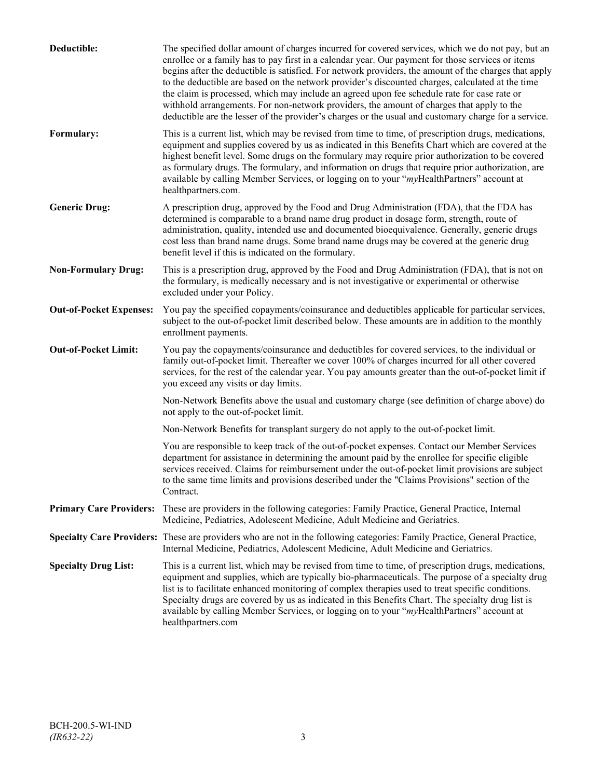| Deductible:                    | The specified dollar amount of charges incurred for covered services, which we do not pay, but an<br>enrollee or a family has to pay first in a calendar year. Our payment for those services or items<br>begins after the deductible is satisfied. For network providers, the amount of the charges that apply<br>to the deductible are based on the network provider's discounted charges, calculated at the time<br>the claim is processed, which may include an agreed upon fee schedule rate for case rate or<br>withhold arrangements. For non-network providers, the amount of charges that apply to the<br>deductible are the lesser of the provider's charges or the usual and customary charge for a service. |
|--------------------------------|-------------------------------------------------------------------------------------------------------------------------------------------------------------------------------------------------------------------------------------------------------------------------------------------------------------------------------------------------------------------------------------------------------------------------------------------------------------------------------------------------------------------------------------------------------------------------------------------------------------------------------------------------------------------------------------------------------------------------|
| Formulary:                     | This is a current list, which may be revised from time to time, of prescription drugs, medications,<br>equipment and supplies covered by us as indicated in this Benefits Chart which are covered at the<br>highest benefit level. Some drugs on the formulary may require prior authorization to be covered<br>as formulary drugs. The formulary, and information on drugs that require prior authorization, are<br>available by calling Member Services, or logging on to your "myHealthPartners" account at<br>healthpartners.com.                                                                                                                                                                                   |
| <b>Generic Drug:</b>           | A prescription drug, approved by the Food and Drug Administration (FDA), that the FDA has<br>determined is comparable to a brand name drug product in dosage form, strength, route of<br>administration, quality, intended use and documented bioequivalence. Generally, generic drugs<br>cost less than brand name drugs. Some brand name drugs may be covered at the generic drug<br>benefit level if this is indicated on the formulary.                                                                                                                                                                                                                                                                             |
| <b>Non-Formulary Drug:</b>     | This is a prescription drug, approved by the Food and Drug Administration (FDA), that is not on<br>the formulary, is medically necessary and is not investigative or experimental or otherwise<br>excluded under your Policy.                                                                                                                                                                                                                                                                                                                                                                                                                                                                                           |
| <b>Out-of-Pocket Expenses:</b> | You pay the specified copayments/coinsurance and deductibles applicable for particular services,<br>subject to the out-of-pocket limit described below. These amounts are in addition to the monthly<br>enrollment payments.                                                                                                                                                                                                                                                                                                                                                                                                                                                                                            |
| <b>Out-of-Pocket Limit:</b>    | You pay the copayments/coinsurance and deductibles for covered services, to the individual or<br>family out-of-pocket limit. Thereafter we cover 100% of charges incurred for all other covered<br>services, for the rest of the calendar year. You pay amounts greater than the out-of-pocket limit if<br>you exceed any visits or day limits.                                                                                                                                                                                                                                                                                                                                                                         |
|                                | Non-Network Benefits above the usual and customary charge (see definition of charge above) do<br>not apply to the out-of-pocket limit.                                                                                                                                                                                                                                                                                                                                                                                                                                                                                                                                                                                  |
|                                | Non-Network Benefits for transplant surgery do not apply to the out-of-pocket limit.                                                                                                                                                                                                                                                                                                                                                                                                                                                                                                                                                                                                                                    |
|                                | You are responsible to keep track of the out-of-pocket expenses. Contact our Member Services<br>department for assistance in determining the amount paid by the enrollee for specific eligible<br>services received. Claims for reimbursement under the out-of-pocket limit provisions are subject<br>to the same time limits and provisions described under the "Claims Provisions" section of the<br>Contract.                                                                                                                                                                                                                                                                                                        |
| <b>Primary Care Providers:</b> | These are providers in the following categories: Family Practice, General Practice, Internal<br>Medicine, Pediatrics, Adolescent Medicine, Adult Medicine and Geriatrics.                                                                                                                                                                                                                                                                                                                                                                                                                                                                                                                                               |
|                                | Specialty Care Providers: These are providers who are not in the following categories: Family Practice, General Practice,<br>Internal Medicine, Pediatrics, Adolescent Medicine, Adult Medicine and Geriatrics.                                                                                                                                                                                                                                                                                                                                                                                                                                                                                                         |
| <b>Specialty Drug List:</b>    | This is a current list, which may be revised from time to time, of prescription drugs, medications,<br>equipment and supplies, which are typically bio-pharmaceuticals. The purpose of a specialty drug<br>list is to facilitate enhanced monitoring of complex therapies used to treat specific conditions.<br>Specialty drugs are covered by us as indicated in this Benefits Chart. The specialty drug list is<br>available by calling Member Services, or logging on to your "myHealthPartners" account at<br>healthpartners.com                                                                                                                                                                                    |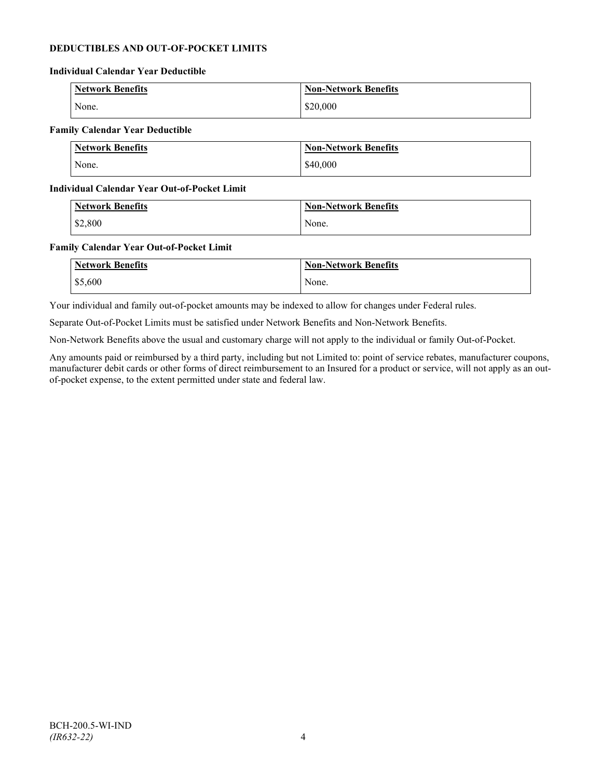# **DEDUCTIBLES AND OUT-OF-POCKET LIMITS**

#### **Individual Calendar Year Deductible**

| Network Benefits | <b>Non-Network Benefits</b> |
|------------------|-----------------------------|
| None.            | \$20,000                    |

# **Family Calendar Year Deductible**

| Network Benefits | <b>Non-Network Benefits</b> |
|------------------|-----------------------------|
| None.            | \$40,000                    |

### **Individual Calendar Year Out-of-Pocket Limit**

| <b>Network Benefits</b> | <b>Non-Network Benefits</b> |
|-------------------------|-----------------------------|
| \$2,800                 | None.                       |

### **Family Calendar Year Out-of-Pocket Limit**

| <b>Network Benefits</b> | <b>Non-Network Benefits</b> |
|-------------------------|-----------------------------|
| \$5,600                 | None.                       |

Your individual and family out-of-pocket amounts may be indexed to allow for changes under Federal rules.

Separate Out-of-Pocket Limits must be satisfied under Network Benefits and Non-Network Benefits.

Non-Network Benefits above the usual and customary charge will not apply to the individual or family Out-of-Pocket.

Any amounts paid or reimbursed by a third party, including but not Limited to: point of service rebates, manufacturer coupons, manufacturer debit cards or other forms of direct reimbursement to an Insured for a product or service, will not apply as an outof-pocket expense, to the extent permitted under state and federal law.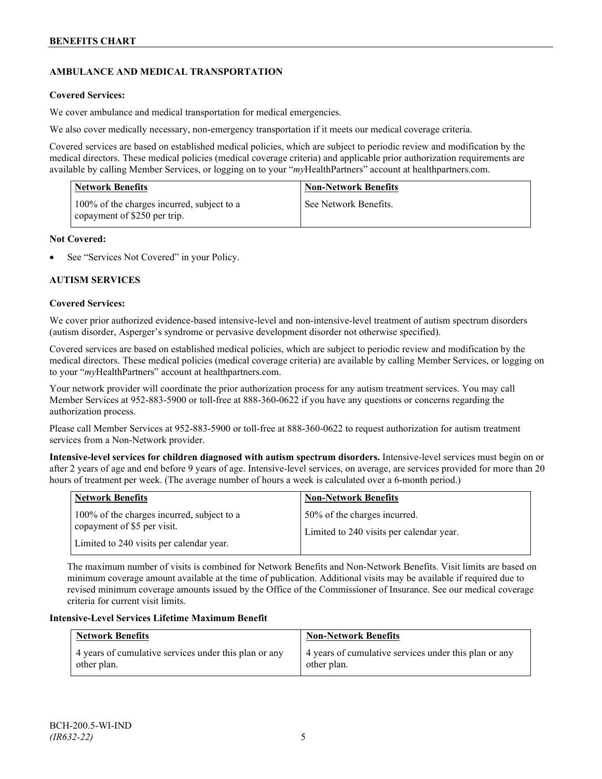# **AMBULANCE AND MEDICAL TRANSPORTATION**

# **Covered Services:**

We cover ambulance and medical transportation for medical emergencies.

We also cover medically necessary, non-emergency transportation if it meets our medical coverage criteria.

Covered services are based on established medical policies, which are subject to periodic review and modification by the medical directors. These medical policies (medical coverage criteria) and applicable prior authorization requirements are available by calling Member Services, or logging on to your "*my*HealthPartners" account a[t healthpartners.com.](http://www.healthpartners.com/)

| <b>Network Benefits</b>                                                    | <b>Non-Network Benefits</b> |
|----------------------------------------------------------------------------|-----------------------------|
| 100% of the charges incurred, subject to a<br>copayment of \$250 per trip. | See Network Benefits.       |

# **Not Covered:**

See "Services Not Covered" in your Policy.

# **AUTISM SERVICES**

### **Covered Services:**

We cover prior authorized evidence-based intensive-level and non-intensive-level treatment of autism spectrum disorders (autism disorder, Asperger's syndrome or pervasive development disorder not otherwise specified).

Covered services are based on established medical policies, which are subject to periodic review and modification by the medical directors. These medical policies (medical coverage criteria) are available by calling Member Services, or logging on to your "*my*HealthPartners" account at [healthpartners.com.](http://www.healthpartners.com/)

Your network provider will coordinate the prior authorization process for any autism treatment services. You may call Member Services at 952-883-5900 or toll-free at 888-360-0622 if you have any questions or concerns regarding the authorization process.

Please call Member Services at 952-883-5900 or toll-free at 888-360-0622 to request authorization for autism treatment services from a Non-Network provider.

**Intensive-level services for children diagnosed with autism spectrum disorders.** Intensive-level services must begin on or after 2 years of age and end before 9 years of age. Intensive-level services, on average, are services provided for more than 20 hours of treatment per week. (The average number of hours a week is calculated over a 6-month period.)

| <b>Network Benefits</b>                                                                                               | <b>Non-Network Benefits</b>                                              |
|-----------------------------------------------------------------------------------------------------------------------|--------------------------------------------------------------------------|
| 100% of the charges incurred, subject to a<br>copayment of \$5 per visit.<br>Limited to 240 visits per calendar year. | 50% of the charges incurred.<br>Limited to 240 visits per calendar year. |

The maximum number of visits is combined for Network Benefits and Non-Network Benefits. Visit limits are based on minimum coverage amount available at the time of publication. Additional visits may be available if required due to revised minimum coverage amounts issued by the Office of the Commissioner of Insurance. See our medical coverage criteria for current visit limits.

# **Intensive-Level Services Lifetime Maximum Benefit**

| <b>Network Benefits</b>                               | <b>Non-Network Benefits</b>                           |
|-------------------------------------------------------|-------------------------------------------------------|
| 4 years of cumulative services under this plan or any | 4 years of cumulative services under this plan or any |
| other plan.                                           | other plan.                                           |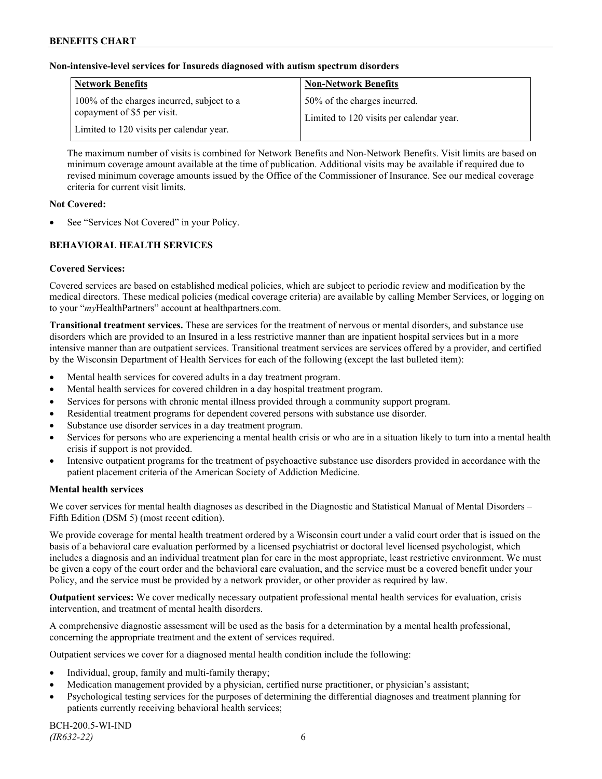# **Non-intensive-level services for Insureds diagnosed with autism spectrum disorders**

| <b>Network Benefits</b>                                                                                               | <b>Non-Network Benefits</b>                                              |
|-----------------------------------------------------------------------------------------------------------------------|--------------------------------------------------------------------------|
| 100% of the charges incurred, subject to a<br>copayment of \$5 per visit.<br>Limited to 120 visits per calendar year. | 50% of the charges incurred.<br>Limited to 120 visits per calendar year. |

The maximum number of visits is combined for Network Benefits and Non-Network Benefits. Visit limits are based on minimum coverage amount available at the time of publication. Additional visits may be available if required due to revised minimum coverage amounts issued by the Office of the Commissioner of Insurance. See our medical coverage criteria for current visit limits.

# **Not Covered:**

See "Services Not Covered" in your Policy.

# **BEHAVIORAL HEALTH SERVICES**

# **Covered Services:**

Covered services are based on established medical policies, which are subject to periodic review and modification by the medical directors. These medical policies (medical coverage criteria) are available by calling Member Services, or logging on to your "*my*HealthPartners" account at [healthpartners.com.](http://www.healthpartners.com/)

**Transitional treatment services.** These are services for the treatment of nervous or mental disorders, and substance use disorders which are provided to an Insured in a less restrictive manner than are inpatient hospital services but in a more intensive manner than are outpatient services. Transitional treatment services are services offered by a provider, and certified by the Wisconsin Department of Health Services for each of the following (except the last bulleted item):

- Mental health services for covered adults in a day treatment program.
- Mental health services for covered children in a day hospital treatment program.
- Services for persons with chronic mental illness provided through a community support program.
- Residential treatment programs for dependent covered persons with substance use disorder.
- Substance use disorder services in a day treatment program.
- Services for persons who are experiencing a mental health crisis or who are in a situation likely to turn into a mental health crisis if support is not provided.
- Intensive outpatient programs for the treatment of psychoactive substance use disorders provided in accordance with the patient placement criteria of the American Society of Addiction Medicine.

# **Mental health services**

We cover services for mental health diagnoses as described in the Diagnostic and Statistical Manual of Mental Disorders – Fifth Edition (DSM 5) (most recent edition).

We provide coverage for mental health treatment ordered by a Wisconsin court under a valid court order that is issued on the basis of a behavioral care evaluation performed by a licensed psychiatrist or doctoral level licensed psychologist, which includes a diagnosis and an individual treatment plan for care in the most appropriate, least restrictive environment. We must be given a copy of the court order and the behavioral care evaluation, and the service must be a covered benefit under your Policy, and the service must be provided by a network provider, or other provider as required by law.

**Outpatient services:** We cover medically necessary outpatient professional mental health services for evaluation, crisis intervention, and treatment of mental health disorders.

A comprehensive diagnostic assessment will be used as the basis for a determination by a mental health professional, concerning the appropriate treatment and the extent of services required.

Outpatient services we cover for a diagnosed mental health condition include the following:

- Individual, group, family and multi-family therapy;
- Medication management provided by a physician, certified nurse practitioner, or physician's assistant;
- Psychological testing services for the purposes of determining the differential diagnoses and treatment planning for patients currently receiving behavioral health services;

BCH-200.5-WI-IND *(IR632-22)* 6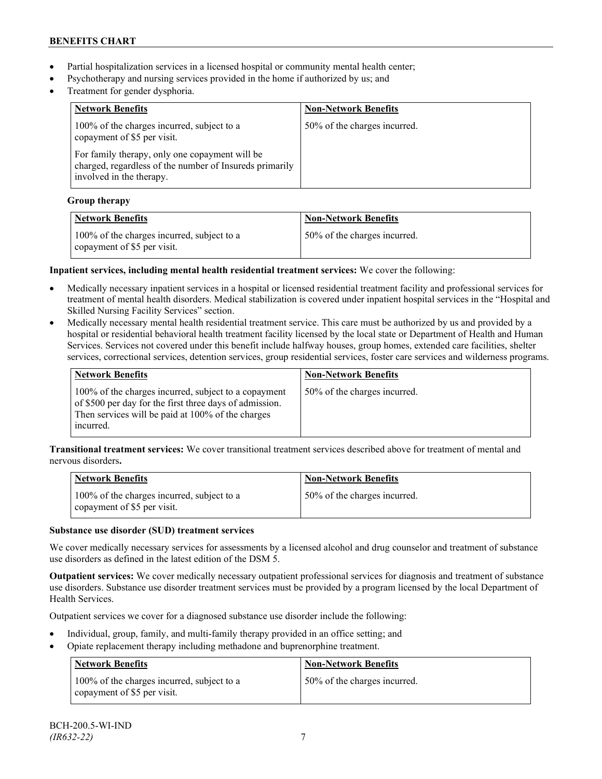- Partial hospitalization services in a licensed hospital or community mental health center;
- Psychotherapy and nursing services provided in the home if authorized by us; and
- Treatment for gender dysphoria.

| <b>Network Benefits</b>                                                                                                               | <b>Non-Network Benefits</b>  |
|---------------------------------------------------------------------------------------------------------------------------------------|------------------------------|
| 100% of the charges incurred, subject to a<br>copayment of \$5 per visit.                                                             | 50% of the charges incurred. |
| For family therapy, only one copayment will be<br>charged, regardless of the number of Insureds primarily<br>involved in the therapy. |                              |

# **Group therapy**

| <b>Network Benefits</b>                                                   | <b>Non-Network Benefits</b>  |
|---------------------------------------------------------------------------|------------------------------|
| 100% of the charges incurred, subject to a<br>copayment of \$5 per visit. | 50% of the charges incurred. |

# **Inpatient services, including mental health residential treatment services:** We cover the following:

- Medically necessary inpatient services in a hospital or licensed residential treatment facility and professional services for treatment of mental health disorders. Medical stabilization is covered under inpatient hospital services in the "Hospital and Skilled Nursing Facility Services" section.
- Medically necessary mental health residential treatment service. This care must be authorized by us and provided by a hospital or residential behavioral health treatment facility licensed by the local state or Department of Health and Human Services. Services not covered under this benefit include halfway houses, group homes, extended care facilities, shelter services, correctional services, detention services, group residential services, foster care services and wilderness programs.

| Network Benefits                                                                                                                                                                  | <b>Non-Network Benefits</b>  |
|-----------------------------------------------------------------------------------------------------------------------------------------------------------------------------------|------------------------------|
| 100% of the charges incurred, subject to a copayment<br>of \$500 per day for the first three days of admission.<br>Then services will be paid at 100% of the charges<br>incurred. | 50% of the charges incurred. |

**Transitional treatment services:** We cover transitional treatment services described above for treatment of mental and nervous disorders**.**

| <b>Network Benefits</b>                                                   | <b>Non-Network Benefits</b>  |
|---------------------------------------------------------------------------|------------------------------|
| 100% of the charges incurred, subject to a<br>copayment of \$5 per visit. | 50% of the charges incurred. |

# **Substance use disorder (SUD) treatment services**

We cover medically necessary services for assessments by a licensed alcohol and drug counselor and treatment of substance use disorders as defined in the latest edition of the DSM 5.

**Outpatient services:** We cover medically necessary outpatient professional services for diagnosis and treatment of substance use disorders. Substance use disorder treatment services must be provided by a program licensed by the local Department of Health Services.

Outpatient services we cover for a diagnosed substance use disorder include the following:

- Individual, group, family, and multi-family therapy provided in an office setting; and
- Opiate replacement therapy including methadone and buprenorphine treatment.

| <b>Network Benefits</b>                                                   | <b>Non-Network Benefits</b>  |
|---------------------------------------------------------------------------|------------------------------|
| 100% of the charges incurred, subject to a<br>copayment of \$5 per visit. | 50% of the charges incurred. |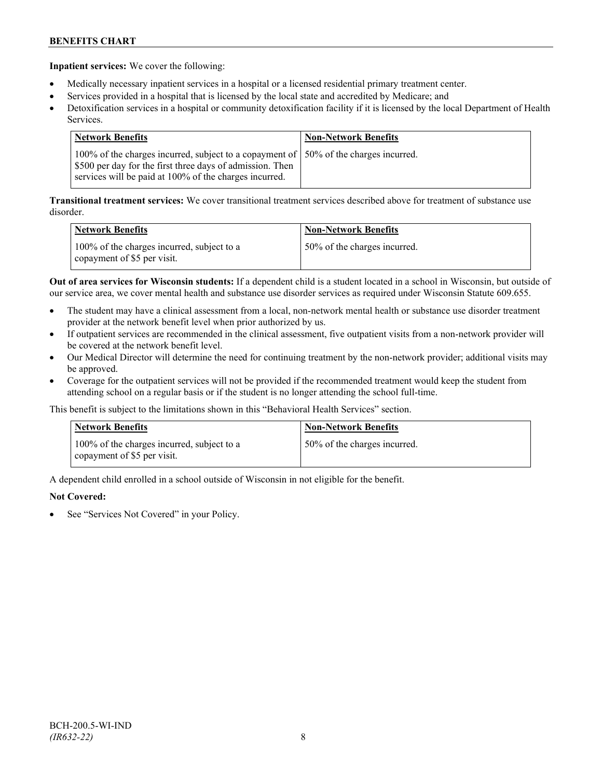**Inpatient services:** We cover the following:

- Medically necessary inpatient services in a hospital or a licensed residential primary treatment center.
- Services provided in a hospital that is licensed by the local state and accredited by Medicare; and
- Detoxification services in a hospital or community detoxification facility if it is licensed by the local Department of Health Services.

| Network Benefits                                                                                                                                                                                             | <b>Non-Network Benefits</b> |
|--------------------------------------------------------------------------------------------------------------------------------------------------------------------------------------------------------------|-----------------------------|
| 100% of the charges incurred, subject to a copayment of 150% of the charges incurred.<br>\$500 per day for the first three days of admission. Then<br>services will be paid at 100% of the charges incurred. |                             |

**Transitional treatment services:** We cover transitional treatment services described above for treatment of substance use disorder.

| <b>Network Benefits</b>                                                   | <b>Non-Network Benefits</b>  |
|---------------------------------------------------------------------------|------------------------------|
| 100% of the charges incurred, subject to a<br>copayment of \$5 per visit. | 50% of the charges incurred. |

**Out of area services for Wisconsin students:** If a dependent child is a student located in a school in Wisconsin, but outside of our service area, we cover mental health and substance use disorder services as required under Wisconsin Statute 609.655.

- The student may have a clinical assessment from a local, non-network mental health or substance use disorder treatment provider at the network benefit level when prior authorized by us.
- If outpatient services are recommended in the clinical assessment, five outpatient visits from a non-network provider will be covered at the network benefit level.
- Our Medical Director will determine the need for continuing treatment by the non-network provider; additional visits may be approved.
- Coverage for the outpatient services will not be provided if the recommended treatment would keep the student from attending school on a regular basis or if the student is no longer attending the school full-time.

This benefit is subject to the limitations shown in this "Behavioral Health Services" section.

| <b>Network Benefits</b>                                                   | <b>Non-Network Benefits</b>  |
|---------------------------------------------------------------------------|------------------------------|
| 100% of the charges incurred, subject to a<br>copayment of \$5 per visit. | 50% of the charges incurred. |

A dependent child enrolled in a school outside of Wisconsin in not eligible for the benefit.

# **Not Covered:**

See "Services Not Covered" in your Policy.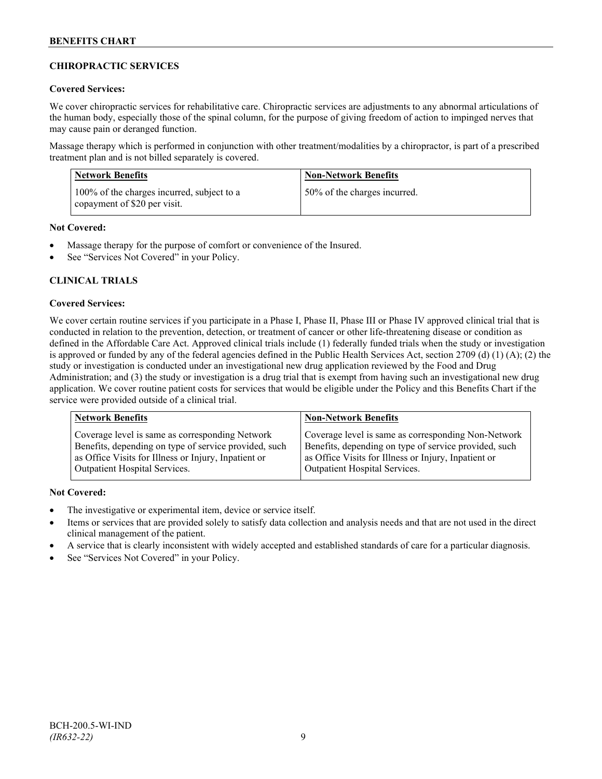# **CHIROPRACTIC SERVICES**

# **Covered Services:**

We cover chiropractic services for rehabilitative care. Chiropractic services are adjustments to any abnormal articulations of the human body, especially those of the spinal column, for the purpose of giving freedom of action to impinged nerves that may cause pain or deranged function.

Massage therapy which is performed in conjunction with other treatment/modalities by a chiropractor, is part of a prescribed treatment plan and is not billed separately is covered.

| Network Benefits                                                           | <b>Non-Network Benefits</b>  |
|----------------------------------------------------------------------------|------------------------------|
| 100% of the charges incurred, subject to a<br>copayment of \$20 per visit. | 50% of the charges incurred. |

# **Not Covered:**

- Massage therapy for the purpose of comfort or convenience of the Insured.
- See "Services Not Covered" in your Policy.

# **CLINICAL TRIALS**

### **Covered Services:**

We cover certain routine services if you participate in a Phase I, Phase II, Phase III or Phase IV approved clinical trial that is conducted in relation to the prevention, detection, or treatment of cancer or other life-threatening disease or condition as defined in the Affordable Care Act. Approved clinical trials include (1) federally funded trials when the study or investigation is approved or funded by any of the federal agencies defined in the Public Health Services Act, section 2709 (d) (1) (A); (2) the study or investigation is conducted under an investigational new drug application reviewed by the Food and Drug Administration; and (3) the study or investigation is a drug trial that is exempt from having such an investigational new drug application. We cover routine patient costs for services that would be eligible under the Policy and this Benefits Chart if the service were provided outside of a clinical trial.

| <b>Network Benefits</b>                               | <b>Non-Network Benefits</b>                           |
|-------------------------------------------------------|-------------------------------------------------------|
| Coverage level is same as corresponding Network       | Coverage level is same as corresponding Non-Network   |
| Benefits, depending on type of service provided, such | Benefits, depending on type of service provided, such |
| as Office Visits for Illness or Injury, Inpatient or  | as Office Visits for Illness or Injury, Inpatient or  |
| Outpatient Hospital Services.                         | Outpatient Hospital Services.                         |

# **Not Covered:**

- The investigative or experimental item, device or service itself.
- Items or services that are provided solely to satisfy data collection and analysis needs and that are not used in the direct clinical management of the patient.
- A service that is clearly inconsistent with widely accepted and established standards of care for a particular diagnosis.
- See "Services Not Covered" in your Policy.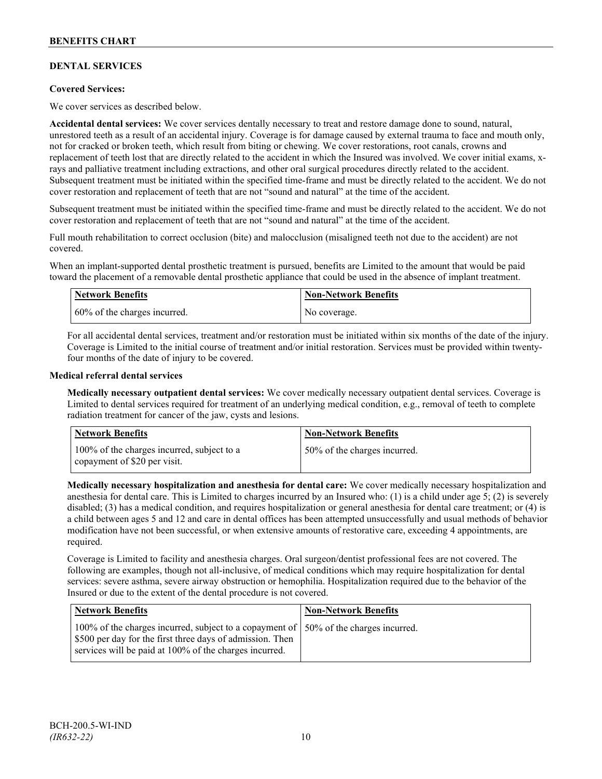# **DENTAL SERVICES**

# **Covered Services:**

We cover services as described below.

**Accidental dental services:** We cover services dentally necessary to treat and restore damage done to sound, natural, unrestored teeth as a result of an accidental injury. Coverage is for damage caused by external trauma to face and mouth only, not for cracked or broken teeth, which result from biting or chewing. We cover restorations, root canals, crowns and replacement of teeth lost that are directly related to the accident in which the Insured was involved. We cover initial exams, xrays and palliative treatment including extractions, and other oral surgical procedures directly related to the accident. Subsequent treatment must be initiated within the specified time-frame and must be directly related to the accident. We do not cover restoration and replacement of teeth that are not "sound and natural" at the time of the accident.

Subsequent treatment must be initiated within the specified time-frame and must be directly related to the accident. We do not cover restoration and replacement of teeth that are not "sound and natural" at the time of the accident.

Full mouth rehabilitation to correct occlusion (bite) and malocclusion (misaligned teeth not due to the accident) are not covered.

When an implant-supported dental prosthetic treatment is pursued, benefits are Limited to the amount that would be paid toward the placement of a removable dental prosthetic appliance that could be used in the absence of implant treatment.

| <b>Network Benefits</b>       | <b>Non-Network Benefits</b> |
|-------------------------------|-----------------------------|
| 160% of the charges incurred. | No coverage.                |

For all accidental dental services, treatment and/or restoration must be initiated within six months of the date of the injury. Coverage is Limited to the initial course of treatment and/or initial restoration. Services must be provided within twentyfour months of the date of injury to be covered.

### **Medical referral dental services**

**Medically necessary outpatient dental services:** We cover medically necessary outpatient dental services. Coverage is Limited to dental services required for treatment of an underlying medical condition, e.g., removal of teeth to complete radiation treatment for cancer of the jaw, cysts and lesions.

| Network Benefits                                                           | <b>Non-Network Benefits</b>  |
|----------------------------------------------------------------------------|------------------------------|
| 100% of the charges incurred, subject to a<br>copayment of \$20 per visit. | 50% of the charges incurred. |

**Medically necessary hospitalization and anesthesia for dental care:** We cover medically necessary hospitalization and anesthesia for dental care. This is Limited to charges incurred by an Insured who: (1) is a child under age 5; (2) is severely disabled; (3) has a medical condition, and requires hospitalization or general anesthesia for dental care treatment; or (4) is a child between ages 5 and 12 and care in dental offices has been attempted unsuccessfully and usual methods of behavior modification have not been successful, or when extensive amounts of restorative care, exceeding 4 appointments, are required.

Coverage is Limited to facility and anesthesia charges. Oral surgeon/dentist professional fees are not covered. The following are examples, though not all-inclusive, of medical conditions which may require hospitalization for dental services: severe asthma, severe airway obstruction or hemophilia. Hospitalization required due to the behavior of the Insured or due to the extent of the dental procedure is not covered.

| Network Benefits                                                                                                                                                                                              | <b>Non-Network Benefits</b> |
|---------------------------------------------------------------------------------------------------------------------------------------------------------------------------------------------------------------|-----------------------------|
| 100% of the charges incurred, subject to a copayment of   50% of the charges incurred.<br>\$500 per day for the first three days of admission. Then<br>services will be paid at 100% of the charges incurred. |                             |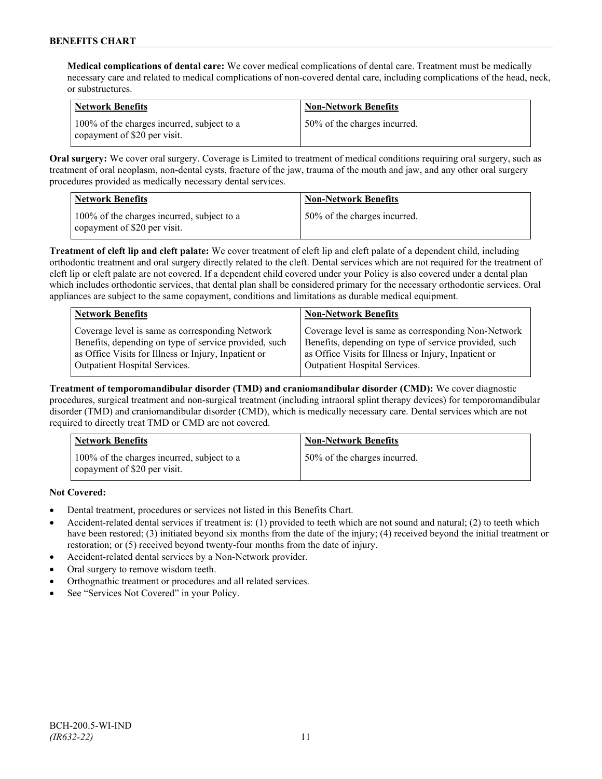**Medical complications of dental care:** We cover medical complications of dental care. Treatment must be medically necessary care and related to medical complications of non-covered dental care, including complications of the head, neck, or substructures.

| Network Benefits                                                           | <b>Non-Network Benefits</b>  |
|----------------------------------------------------------------------------|------------------------------|
| 100% of the charges incurred, subject to a<br>copayment of \$20 per visit. | 50% of the charges incurred. |

**Oral surgery:** We cover oral surgery. Coverage is Limited to treatment of medical conditions requiring oral surgery, such as treatment of oral neoplasm, non-dental cysts, fracture of the jaw, trauma of the mouth and jaw, and any other oral surgery procedures provided as medically necessary dental services.

| Network Benefits                                                           | <b>Non-Network Benefits</b>   |
|----------------------------------------------------------------------------|-------------------------------|
| 100% of the charges incurred, subject to a<br>copayment of \$20 per visit. | 150% of the charges incurred. |

**Treatment of cleft lip and cleft palate:** We cover treatment of cleft lip and cleft palate of a dependent child, including orthodontic treatment and oral surgery directly related to the cleft. Dental services which are not required for the treatment of cleft lip or cleft palate are not covered. If a dependent child covered under your Policy is also covered under a dental plan which includes orthodontic services, that dental plan shall be considered primary for the necessary orthodontic services. Oral appliances are subject to the same copayment, conditions and limitations as durable medical equipment.

| <b>Network Benefits</b>                               | <b>Non-Network Benefits</b>                           |
|-------------------------------------------------------|-------------------------------------------------------|
| Coverage level is same as corresponding Network       | Coverage level is same as corresponding Non-Network   |
| Benefits, depending on type of service provided, such | Benefits, depending on type of service provided, such |
| as Office Visits for Illness or Injury, Inpatient or  | as Office Visits for Illness or Injury, Inpatient or  |
| Outpatient Hospital Services.                         | Outpatient Hospital Services.                         |

**Treatment of temporomandibular disorder (TMD) and craniomandibular disorder (CMD):** We cover diagnostic procedures, surgical treatment and non-surgical treatment (including intraoral splint therapy devices) for temporomandibular disorder (TMD) and craniomandibular disorder (CMD), which is medically necessary care. Dental services which are not required to directly treat TMD or CMD are not covered.

| <b>Network Benefits</b>                                                    | <b>Non-Network Benefits</b>  |
|----------------------------------------------------------------------------|------------------------------|
| 100% of the charges incurred, subject to a<br>copayment of \$20 per visit. | 50% of the charges incurred. |

**Not Covered:**

- Dental treatment, procedures or services not listed in this Benefits Chart.
- Accident-related dental services if treatment is: (1) provided to teeth which are not sound and natural; (2) to teeth which have been restored; (3) initiated beyond six months from the date of the injury; (4) received beyond the initial treatment or restoration; or (5) received beyond twenty-four months from the date of injury.
- Accident-related dental services by a Non-Network provider.
- Oral surgery to remove wisdom teeth.
- Orthognathic treatment or procedures and all related services.
- See "Services Not Covered" in your Policy.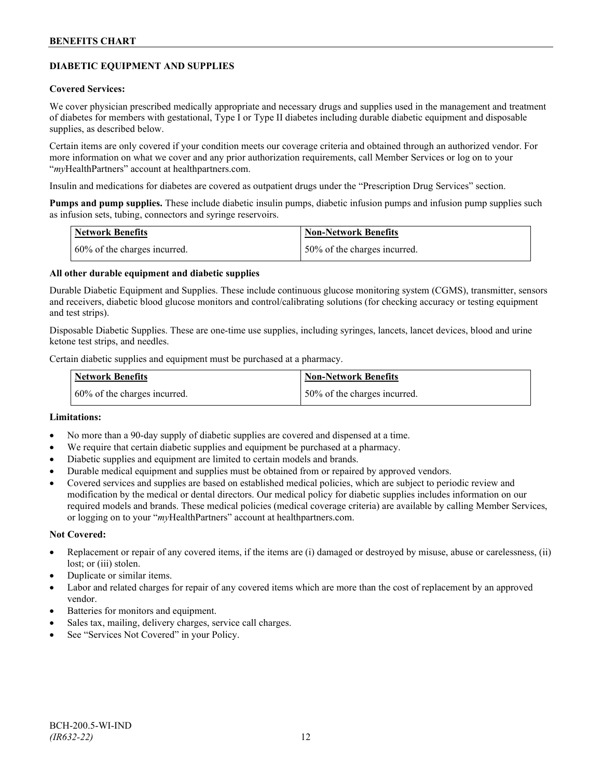# **DIABETIC EQUIPMENT AND SUPPLIES**

### **Covered Services:**

We cover physician prescribed medically appropriate and necessary drugs and supplies used in the management and treatment of diabetes for members with gestational, Type I or Type II diabetes including durable diabetic equipment and disposable supplies, as described below.

Certain items are only covered if your condition meets our coverage criteria and obtained through an authorized vendor. For more information on what we cover and any prior authorization requirements, call Member Services or log on to your "*my*HealthPartners" account at [healthpartners.com.](http://www.healthpartners.com/)

Insulin and medications for diabetes are covered as outpatient drugs under the "Prescription Drug Services" section.

**Pumps and pump supplies.** These include diabetic insulin pumps, diabetic infusion pumps and infusion pump supplies such as infusion sets, tubing, connectors and syringe reservoirs.

| <b>Network Benefits</b>      | <b>Non-Network Benefits</b>  |
|------------------------------|------------------------------|
| 60% of the charges incurred. | 50% of the charges incurred. |

# **All other durable equipment and diabetic supplies**

Durable Diabetic Equipment and Supplies. These include continuous glucose monitoring system (CGMS), transmitter, sensors and receivers, diabetic blood glucose monitors and control/calibrating solutions (for checking accuracy or testing equipment and test strips).

Disposable Diabetic Supplies. These are one-time use supplies, including syringes, lancets, lancet devices, blood and urine ketone test strips, and needles.

Certain diabetic supplies and equipment must be purchased at a pharmacy.

| <b>Network Benefits</b>         | <b>Non-Network Benefits</b>  |
|---------------------------------|------------------------------|
| $60\%$ of the charges incurred. | 50% of the charges incurred. |

# **Limitations:**

- No more than a 90-day supply of diabetic supplies are covered and dispensed at a time.
- We require that certain diabetic supplies and equipment be purchased at a pharmacy.
- Diabetic supplies and equipment are limited to certain models and brands.
- Durable medical equipment and supplies must be obtained from or repaired by approved vendors.
- Covered services and supplies are based on established medical policies, which are subject to periodic review and modification by the medical or dental directors. Our medical policy for diabetic supplies includes information on our required models and brands. These medical policies (medical coverage criteria) are available by calling Member Services, or logging on to your "*my*HealthPartners" account at healthpartners.com.

#### **Not Covered:**

- Replacement or repair of any covered items, if the items are (i) damaged or destroyed by misuse, abuse or carelessness, (ii) lost; or (iii) stolen.
- Duplicate or similar items.
- Labor and related charges for repair of any covered items which are more than the cost of replacement by an approved vendor.
- Batteries for monitors and equipment.
- Sales tax, mailing, delivery charges, service call charges.
- See "Services Not Covered" in your Policy.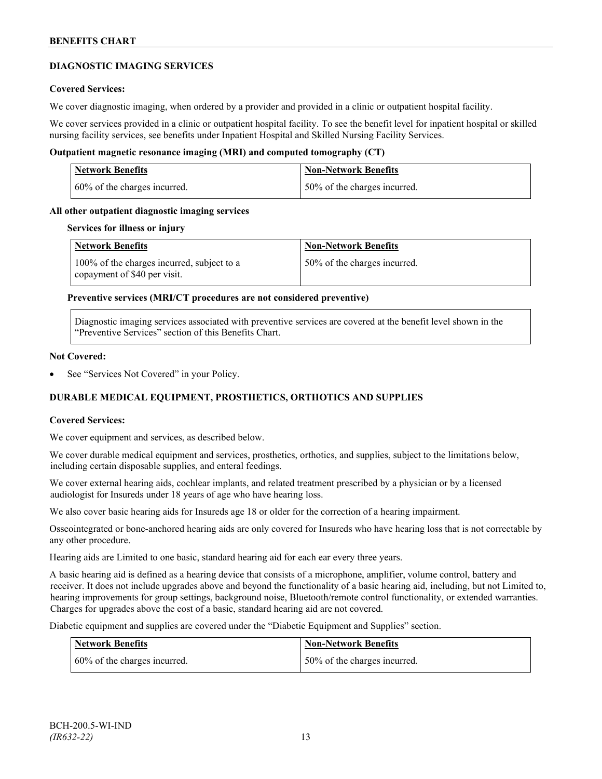# **DIAGNOSTIC IMAGING SERVICES**

# **Covered Services:**

We cover diagnostic imaging, when ordered by a provider and provided in a clinic or outpatient hospital facility.

We cover services provided in a clinic or outpatient hospital facility. To see the benefit level for inpatient hospital or skilled nursing facility services, see benefits under Inpatient Hospital and Skilled Nursing Facility Services.

### **Outpatient magnetic resonance imaging (MRI) and computed tomography (CT)**

| Network Benefits             | <b>Non-Network Benefits</b>  |
|------------------------------|------------------------------|
| 60% of the charges incurred. | 50% of the charges incurred. |

### **All other outpatient diagnostic imaging services**

#### **Services for illness or injury**

| <b>Network Benefits</b>                                                    | <b>Non-Network Benefits</b>  |
|----------------------------------------------------------------------------|------------------------------|
| 100% of the charges incurred, subject to a<br>copayment of \$40 per visit. | 50% of the charges incurred. |

### **Preventive services (MRI/CT procedures are not considered preventive)**

Diagnostic imaging services associated with preventive services are covered at the benefit level shown in the "Preventive Services" section of this Benefits Chart.

#### **Not Covered:**

See "Services Not Covered" in your Policy.

# **DURABLE MEDICAL EQUIPMENT, PROSTHETICS, ORTHOTICS AND SUPPLIES**

#### **Covered Services:**

We cover equipment and services, as described below.

We cover durable medical equipment and services, prosthetics, orthotics, and supplies, subject to the limitations below, including certain disposable supplies, and enteral feedings.

We cover external hearing aids, cochlear implants, and related treatment prescribed by a physician or by a licensed audiologist for Insureds under 18 years of age who have hearing loss.

We also cover basic hearing aids for Insureds age 18 or older for the correction of a hearing impairment.

Osseointegrated or bone-anchored hearing aids are only covered for Insureds who have hearing loss that is not correctable by any other procedure.

Hearing aids are Limited to one basic, standard hearing aid for each ear every three years.

A basic hearing aid is defined as a hearing device that consists of a microphone, amplifier, volume control, battery and receiver. It does not include upgrades above and beyond the functionality of a basic hearing aid, including, but not Limited to, hearing improvements for group settings, background noise, Bluetooth/remote control functionality, or extended warranties. Charges for upgrades above the cost of a basic, standard hearing aid are not covered.

Diabetic equipment and supplies are covered under the "Diabetic Equipment and Supplies" section.

| <b>Network Benefits</b>      | <b>Non-Network Benefits</b>  |
|------------------------------|------------------------------|
| 60% of the charges incurred. | 50% of the charges incurred. |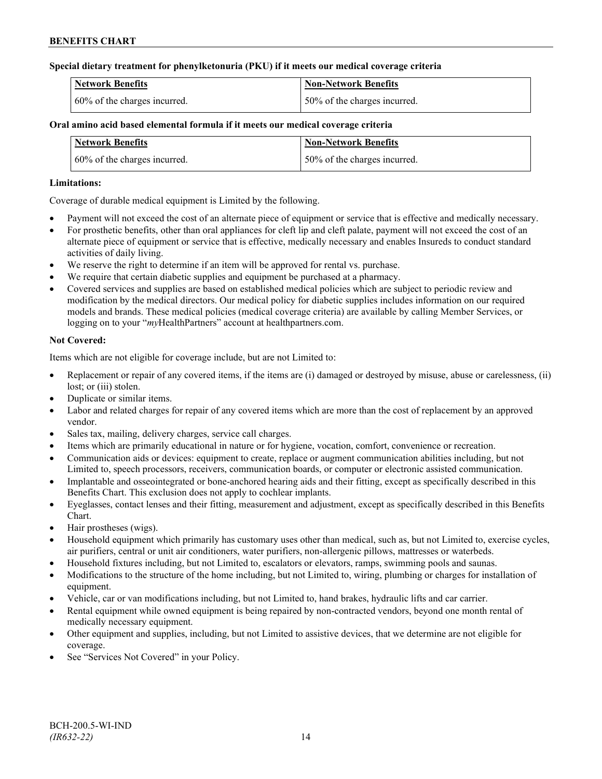# **Special dietary treatment for phenylketonuria (PKU) if it meets our medical coverage criteria**

| <b>Network Benefits</b>      | Non-Network Benefits         |
|------------------------------|------------------------------|
| 60% of the charges incurred. | 50% of the charges incurred. |

# **Oral amino acid based elemental formula if it meets our medical coverage criteria**

| <b>Network Benefits</b>      | <b>Non-Network Benefits</b>  |
|------------------------------|------------------------------|
| 60% of the charges incurred. | 50% of the charges incurred. |

# **Limitations:**

Coverage of durable medical equipment is Limited by the following.

- Payment will not exceed the cost of an alternate piece of equipment or service that is effective and medically necessary.
- For prosthetic benefits, other than oral appliances for cleft lip and cleft palate, payment will not exceed the cost of an alternate piece of equipment or service that is effective, medically necessary and enables Insureds to conduct standard activities of daily living.
- We reserve the right to determine if an item will be approved for rental vs. purchase.
- We require that certain diabetic supplies and equipment be purchased at a pharmacy.
- Covered services and supplies are based on established medical policies which are subject to periodic review and modification by the medical directors. Our medical policy for diabetic supplies includes information on our required models and brands. These medical policies (medical coverage criteria) are available by calling Member Services, or logging on to your "*my*HealthPartners" account at [healthpartners.com.](http://www.healthpartners.com/)

# **Not Covered:**

Items which are not eligible for coverage include, but are not Limited to:

- Replacement or repair of any covered items, if the items are (i) damaged or destroyed by misuse, abuse or carelessness, (ii) lost; or *(iii)* stolen.
- Duplicate or similar items.
- Labor and related charges for repair of any covered items which are more than the cost of replacement by an approved vendor.
- Sales tax, mailing, delivery charges, service call charges.
- Items which are primarily educational in nature or for hygiene, vocation, comfort, convenience or recreation.
- Communication aids or devices: equipment to create, replace or augment communication abilities including, but not Limited to, speech processors, receivers, communication boards, or computer or electronic assisted communication.
- Implantable and osseointegrated or bone-anchored hearing aids and their fitting, except as specifically described in this Benefits Chart. This exclusion does not apply to cochlear implants.
- Eyeglasses, contact lenses and their fitting, measurement and adjustment, except as specifically described in this Benefits Chart.
- Hair prostheses (wigs).
- Household equipment which primarily has customary uses other than medical, such as, but not Limited to, exercise cycles, air purifiers, central or unit air conditioners, water purifiers, non-allergenic pillows, mattresses or waterbeds.
- Household fixtures including, but not Limited to, escalators or elevators, ramps, swimming pools and saunas.
- Modifications to the structure of the home including, but not Limited to, wiring, plumbing or charges for installation of equipment.
- Vehicle, car or van modifications including, but not Limited to, hand brakes, hydraulic lifts and car carrier.
- Rental equipment while owned equipment is being repaired by non-contracted vendors, beyond one month rental of medically necessary equipment.
- Other equipment and supplies, including, but not Limited to assistive devices, that we determine are not eligible for coverage.
- See "Services Not Covered" in your Policy.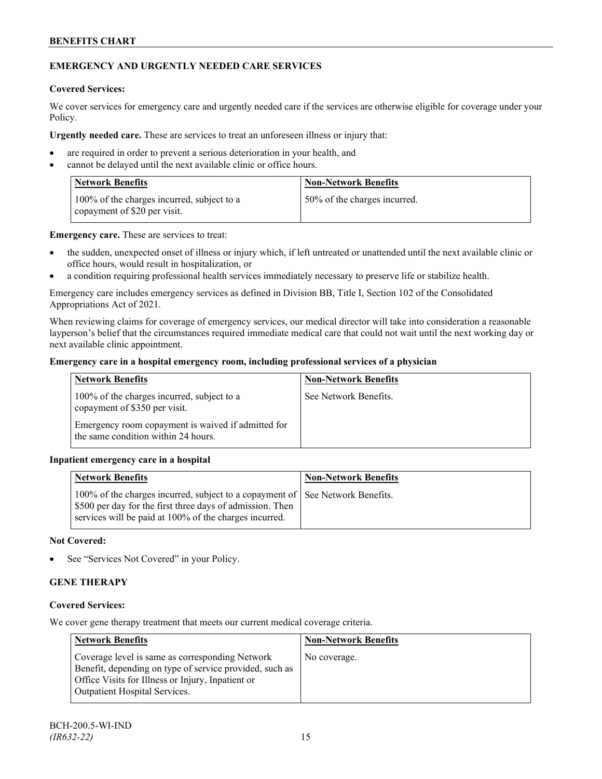# **EMERGENCY AND URGENTLY NEEDED CARE SERVICES**

# **Covered Services:**

We cover services for emergency care and urgently needed care if the services are otherwise eligible for coverage under your Policy.

**Urgently needed care.** These are services to treat an unforeseen illness or injury that:

- are required in order to prevent a serious deterioration in your health, and
- cannot be delayed until the next available clinic or office hours.

| <b>Network Benefits</b>                                                    | <b>Non-Network Benefits</b>  |
|----------------------------------------------------------------------------|------------------------------|
| 100% of the charges incurred, subject to a<br>copayment of \$20 per visit. | 50% of the charges incurred. |

**Emergency care.** These are services to treat:

- the sudden, unexpected onset of illness or injury which, if left untreated or unattended until the next available clinic or office hours, would result in hospitalization, or
- a condition requiring professional health services immediately necessary to preserve life or stabilize health.

Emergency care includes emergency services as defined in Division BB, Title I, Section 102 of the Consolidated Appropriations Act of 2021.

When reviewing claims for coverage of emergency services, our medical director will take into consideration a reasonable layperson's belief that the circumstances required immediate medical care that could not wait until the next working day or next available clinic appointment.

# **Emergency care in a hospital emergency room, including professional services of a physician**

| <b>Network Benefits</b>                                                                   | <b>Non-Network Benefits</b> |
|-------------------------------------------------------------------------------------------|-----------------------------|
| 100% of the charges incurred, subject to a<br>copayment of \$350 per visit.               | See Network Benefits.       |
| Emergency room copayment is waived if admitted for<br>the same condition within 24 hours. |                             |

# **Inpatient emergency care in a hospital**

| <b>Network Benefits</b>                                                                                                                                                                              | <b>Non-Network Benefits</b> |
|------------------------------------------------------------------------------------------------------------------------------------------------------------------------------------------------------|-----------------------------|
| 100% of the charges incurred, subject to a copayment of See Network Benefits.<br>\$500 per day for the first three days of admission. Then<br>services will be paid at 100% of the charges incurred. |                             |

### **Not Covered:**

See "Services Not Covered" in your Policy.

# **GENE THERAPY**

# **Covered Services:**

We cover gene therapy treatment that meets our current medical coverage criteria.

| <b>Network Benefits</b>                                                                                                                                                                          | <b>Non-Network Benefits</b> |
|--------------------------------------------------------------------------------------------------------------------------------------------------------------------------------------------------|-----------------------------|
| Coverage level is same as corresponding Network<br>Benefit, depending on type of service provided, such as<br>Office Visits for Illness or Injury, Inpatient or<br>Outpatient Hospital Services. | No coverage.                |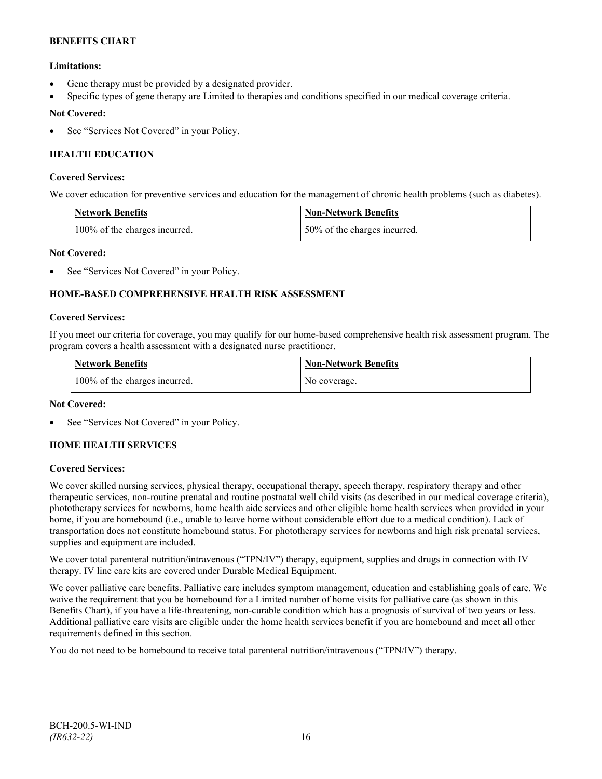# **Limitations:**

- Gene therapy must be provided by a designated provider.
- Specific types of gene therapy are Limited to therapies and conditions specified in our medical coverage criteria.

# **Not Covered:**

See "Services Not Covered" in your Policy.

# **HEALTH EDUCATION**

### **Covered Services:**

We cover education for preventive services and education for the management of chronic health problems (such as diabetes).

| <b>Network Benefits</b>       | <b>Non-Network Benefits</b>  |
|-------------------------------|------------------------------|
| 100% of the charges incurred. | 50% of the charges incurred. |

# **Not Covered:**

See "Services Not Covered" in your Policy.

# **HOME-BASED COMPREHENSIVE HEALTH RISK ASSESSMENT**

### **Covered Services:**

If you meet our criteria for coverage, you may qualify for our home-based comprehensive health risk assessment program. The program covers a health assessment with a designated nurse practitioner.

| <b>Network Benefits</b>       | <b>Non-Network Benefits</b> |
|-------------------------------|-----------------------------|
| 100% of the charges incurred. | No coverage.                |

# **Not Covered:**

See "Services Not Covered" in your Policy.

# **HOME HEALTH SERVICES**

# **Covered Services:**

We cover skilled nursing services, physical therapy, occupational therapy, speech therapy, respiratory therapy and other therapeutic services, non-routine prenatal and routine postnatal well child visits (as described in our medical coverage criteria), phototherapy services for newborns, home health aide services and other eligible home health services when provided in your home, if you are homebound (i.e., unable to leave home without considerable effort due to a medical condition). Lack of transportation does not constitute homebound status. For phototherapy services for newborns and high risk prenatal services, supplies and equipment are included.

We cover total parenteral nutrition/intravenous ("TPN/IV") therapy, equipment, supplies and drugs in connection with IV therapy. IV line care kits are covered under Durable Medical Equipment.

We cover palliative care benefits. Palliative care includes symptom management, education and establishing goals of care. We waive the requirement that you be homebound for a Limited number of home visits for palliative care (as shown in this Benefits Chart), if you have a life-threatening, non-curable condition which has a prognosis of survival of two years or less. Additional palliative care visits are eligible under the home health services benefit if you are homebound and meet all other requirements defined in this section.

You do not need to be homebound to receive total parenteral nutrition/intravenous ("TPN/IV") therapy.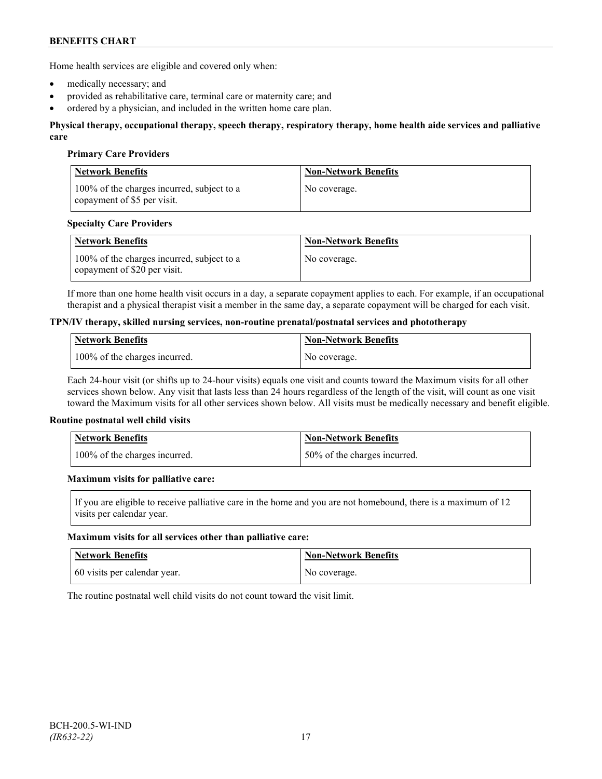Home health services are eligible and covered only when:

- medically necessary; and
- provided as rehabilitative care, terminal care or maternity care; and
- ordered by a physician, and included in the written home care plan.

#### **Physical therapy, occupational therapy, speech therapy, respiratory therapy, home health aide services and palliative care**

### **Primary Care Providers**

| <b>Network Benefits</b>                                                   | <b>Non-Network Benefits</b> |
|---------------------------------------------------------------------------|-----------------------------|
| 100% of the charges incurred, subject to a<br>copayment of \$5 per visit. | No coverage.                |

### **Specialty Care Providers**

| <b>Network Benefits</b>                                                       | <b>Non-Network Benefits</b> |
|-------------------------------------------------------------------------------|-----------------------------|
| 100% of the charges incurred, subject to a<br>I copayment of $$20$ per visit. | No coverage.                |

If more than one home health visit occurs in a day, a separate copayment applies to each. For example, if an occupational therapist and a physical therapist visit a member in the same day, a separate copayment will be charged for each visit.

#### **TPN/IV therapy, skilled nursing services, non-routine prenatal/postnatal services and phototherapy**

| <b>Network Benefits</b>       | <b>Non-Network Benefits</b> |
|-------------------------------|-----------------------------|
| 100% of the charges incurred. | No coverage.                |

Each 24-hour visit (or shifts up to 24-hour visits) equals one visit and counts toward the Maximum visits for all other services shown below. Any visit that lasts less than 24 hours regardless of the length of the visit, will count as one visit toward the Maximum visits for all other services shown below. All visits must be medically necessary and benefit eligible.

#### **Routine postnatal well child visits**

| <b>Network Benefits</b>       | Non-Network Benefits         |
|-------------------------------|------------------------------|
| 100% of the charges incurred. | 50% of the charges incurred. |

#### **Maximum visits for palliative care:**

If you are eligible to receive palliative care in the home and you are not homebound, there is a maximum of 12 visits per calendar year.

#### **Maximum visits for all services other than palliative care:**

| Network Benefits             | <b>Non-Network Benefits</b> |
|------------------------------|-----------------------------|
| 60 visits per calendar year. | No coverage.                |

The routine postnatal well child visits do not count toward the visit limit.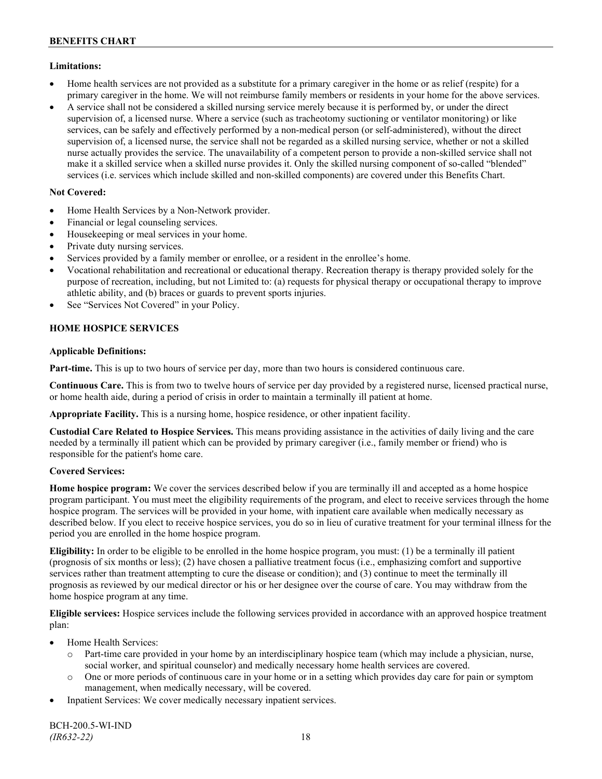# **Limitations:**

- Home health services are not provided as a substitute for a primary caregiver in the home or as relief (respite) for a primary caregiver in the home. We will not reimburse family members or residents in your home for the above services.
- A service shall not be considered a skilled nursing service merely because it is performed by, or under the direct supervision of, a licensed nurse. Where a service (such as tracheotomy suctioning or ventilator monitoring) or like services, can be safely and effectively performed by a non-medical person (or self-administered), without the direct supervision of, a licensed nurse, the service shall not be regarded as a skilled nursing service, whether or not a skilled nurse actually provides the service. The unavailability of a competent person to provide a non-skilled service shall not make it a skilled service when a skilled nurse provides it. Only the skilled nursing component of so-called "blended" services (i.e. services which include skilled and non-skilled components) are covered under this Benefits Chart.

# **Not Covered:**

- Home Health Services by a Non-Network provider.
- Financial or legal counseling services.
- Housekeeping or meal services in your home.
- Private duty nursing services.
- Services provided by a family member or enrollee, or a resident in the enrollee's home.
- Vocational rehabilitation and recreational or educational therapy. Recreation therapy is therapy provided solely for the purpose of recreation, including, but not Limited to: (a) requests for physical therapy or occupational therapy to improve athletic ability, and (b) braces or guards to prevent sports injuries.
- See "Services Not Covered" in your Policy.

# **HOME HOSPICE SERVICES**

# **Applicable Definitions:**

**Part-time.** This is up to two hours of service per day, more than two hours is considered continuous care.

**Continuous Care.** This is from two to twelve hours of service per day provided by a registered nurse, licensed practical nurse, or home health aide, during a period of crisis in order to maintain a terminally ill patient at home.

**Appropriate Facility.** This is a nursing home, hospice residence, or other inpatient facility.

**Custodial Care Related to Hospice Services.** This means providing assistance in the activities of daily living and the care needed by a terminally ill patient which can be provided by primary caregiver (i.e., family member or friend) who is responsible for the patient's home care.

# **Covered Services:**

**Home hospice program:** We cover the services described below if you are terminally ill and accepted as a home hospice program participant. You must meet the eligibility requirements of the program, and elect to receive services through the home hospice program. The services will be provided in your home, with inpatient care available when medically necessary as described below. If you elect to receive hospice services, you do so in lieu of curative treatment for your terminal illness for the period you are enrolled in the home hospice program.

**Eligibility:** In order to be eligible to be enrolled in the home hospice program, you must: (1) be a terminally ill patient (prognosis of six months or less); (2) have chosen a palliative treatment focus (i.e., emphasizing comfort and supportive services rather than treatment attempting to cure the disease or condition); and (3) continue to meet the terminally ill prognosis as reviewed by our medical director or his or her designee over the course of care. You may withdraw from the home hospice program at any time.

**Eligible services:** Hospice services include the following services provided in accordance with an approved hospice treatment plan:

- Home Health Services:
	- o Part-time care provided in your home by an interdisciplinary hospice team (which may include a physician, nurse, social worker, and spiritual counselor) and medically necessary home health services are covered.
	- o One or more periods of continuous care in your home or in a setting which provides day care for pain or symptom management, when medically necessary, will be covered.
- Inpatient Services: We cover medically necessary inpatient services.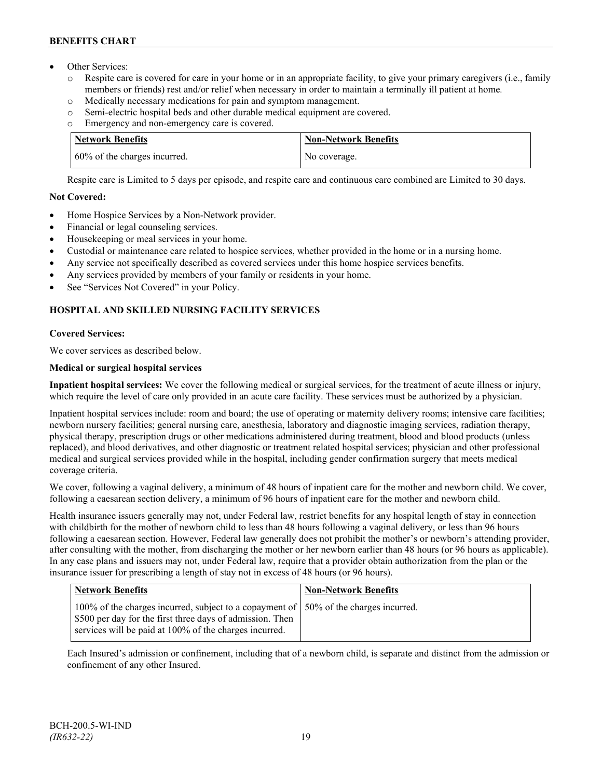- Other Services:
	- o Respite care is covered for care in your home or in an appropriate facility, to give your primary caregivers (i.e., family members or friends) rest and/or relief when necessary in order to maintain a terminally ill patient at home*.*
	- o Medically necessary medications for pain and symptom management.
	- o Semi-electric hospital beds and other durable medical equipment are covered.
	- o Emergency and non-emergency care is covered.

| <b>Network Benefits</b>       | <b>Non-Network Benefits</b> |
|-------------------------------|-----------------------------|
| 160% of the charges incurred. | No coverage.                |

Respite care is Limited to 5 days per episode, and respite care and continuous care combined are Limited to 30 days.

# **Not Covered:**

- Home Hospice Services by a Non-Network provider.
- Financial or legal counseling services.
- Housekeeping or meal services in your home.
- Custodial or maintenance care related to hospice services, whether provided in the home or in a nursing home.
- Any service not specifically described as covered services under this home hospice services benefits.
- Any services provided by members of your family or residents in your home.
- See "Services Not Covered" in your Policy.

# **HOSPITAL AND SKILLED NURSING FACILITY SERVICES**

# **Covered Services:**

We cover services as described below.

# **Medical or surgical hospital services**

**Inpatient hospital services:** We cover the following medical or surgical services, for the treatment of acute illness or injury, which require the level of care only provided in an acute care facility. These services must be authorized by a physician.

Inpatient hospital services include: room and board; the use of operating or maternity delivery rooms; intensive care facilities; newborn nursery facilities; general nursing care, anesthesia, laboratory and diagnostic imaging services, radiation therapy, physical therapy, prescription drugs or other medications administered during treatment, blood and blood products (unless replaced), and blood derivatives, and other diagnostic or treatment related hospital services; physician and other professional medical and surgical services provided while in the hospital, including gender confirmation surgery that meets medical coverage criteria.

We cover, following a vaginal delivery, a minimum of 48 hours of inpatient care for the mother and newborn child. We cover, following a caesarean section delivery, a minimum of 96 hours of inpatient care for the mother and newborn child.

Health insurance issuers generally may not, under Federal law, restrict benefits for any hospital length of stay in connection with childbirth for the mother of newborn child to less than 48 hours following a vaginal delivery, or less than 96 hours following a caesarean section. However, Federal law generally does not prohibit the mother's or newborn's attending provider, after consulting with the mother, from discharging the mother or her newborn earlier than 48 hours (or 96 hours as applicable). In any case plans and issuers may not, under Federal law, require that a provider obtain authorization from the plan or the insurance issuer for prescribing a length of stay not in excess of 48 hours (or 96 hours).

| <b>Network Benefits</b>                                                                                                                                                                                       | <b>Non-Network Benefits</b> |
|---------------------------------------------------------------------------------------------------------------------------------------------------------------------------------------------------------------|-----------------------------|
| 100% of the charges incurred, subject to a copayment of   50% of the charges incurred.<br>\$500 per day for the first three days of admission. Then<br>services will be paid at 100% of the charges incurred. |                             |

Each Insured's admission or confinement, including that of a newborn child, is separate and distinct from the admission or confinement of any other Insured.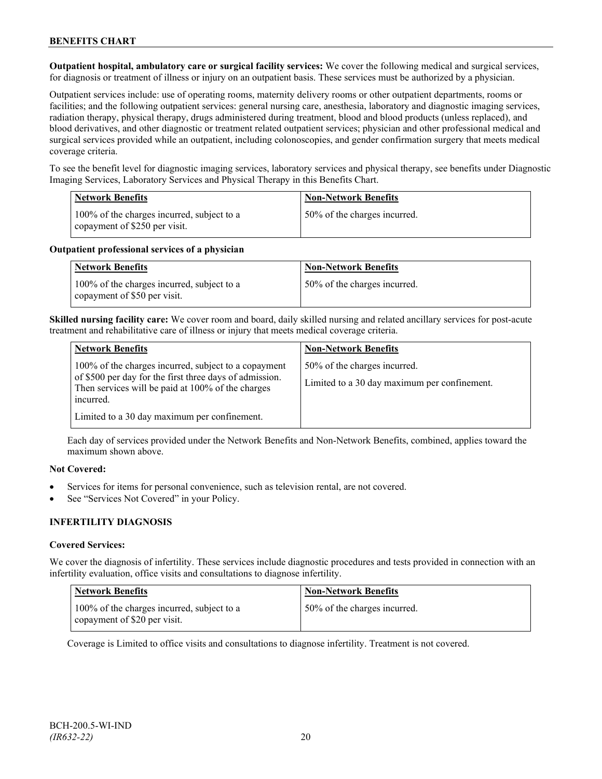**Outpatient hospital, ambulatory care or surgical facility services:** We cover the following medical and surgical services, for diagnosis or treatment of illness or injury on an outpatient basis. These services must be authorized by a physician.

Outpatient services include: use of operating rooms, maternity delivery rooms or other outpatient departments, rooms or facilities; and the following outpatient services: general nursing care, anesthesia, laboratory and diagnostic imaging services, radiation therapy, physical therapy, drugs administered during treatment, blood and blood products (unless replaced), and blood derivatives, and other diagnostic or treatment related outpatient services; physician and other professional medical and surgical services provided while an outpatient, including colonoscopies, and gender confirmation surgery that meets medical coverage criteria.

To see the benefit level for diagnostic imaging services, laboratory services and physical therapy, see benefits under Diagnostic Imaging Services, Laboratory Services and Physical Therapy in this Benefits Chart.

| <b>Network Benefits</b>                                                     | <b>Non-Network Benefits</b>  |
|-----------------------------------------------------------------------------|------------------------------|
| 100% of the charges incurred, subject to a<br>copayment of \$250 per visit. | 50% of the charges incurred. |

### **Outpatient professional services of a physician**

| <b>Network Benefits</b>                                                    | <b>Non-Network Benefits</b>  |
|----------------------------------------------------------------------------|------------------------------|
| 100% of the charges incurred, subject to a<br>copayment of \$50 per visit. | 50% of the charges incurred. |

**Skilled nursing facility care:** We cover room and board, daily skilled nursing and related ancillary services for post-acute treatment and rehabilitative care of illness or injury that meets medical coverage criteria.

| <b>Network Benefits</b>                                                                                                                                                           | <b>Non-Network Benefits</b>                                                  |
|-----------------------------------------------------------------------------------------------------------------------------------------------------------------------------------|------------------------------------------------------------------------------|
| 100% of the charges incurred, subject to a copayment<br>of \$500 per day for the first three days of admission.<br>Then services will be paid at 100% of the charges<br>incurred. | 50% of the charges incurred.<br>Limited to a 30 day maximum per confinement. |
| Limited to a 30 day maximum per confinement.                                                                                                                                      |                                                                              |

Each day of services provided under the Network Benefits and Non-Network Benefits, combined, applies toward the maximum shown above.

# **Not Covered:**

- Services for items for personal convenience, such as television rental, are not covered.
- See "Services Not Covered" in your Policy.

# **INFERTILITY DIAGNOSIS**

# **Covered Services:**

We cover the diagnosis of infertility. These services include diagnostic procedures and tests provided in connection with an infertility evaluation, office visits and consultations to diagnose infertility.

| <b>Network Benefits</b>                                                    | <b>Non-Network Benefits</b>  |
|----------------------------------------------------------------------------|------------------------------|
| 100% of the charges incurred, subject to a<br>copayment of \$20 per visit. | 50% of the charges incurred. |

Coverage is Limited to office visits and consultations to diagnose infertility. Treatment is not covered.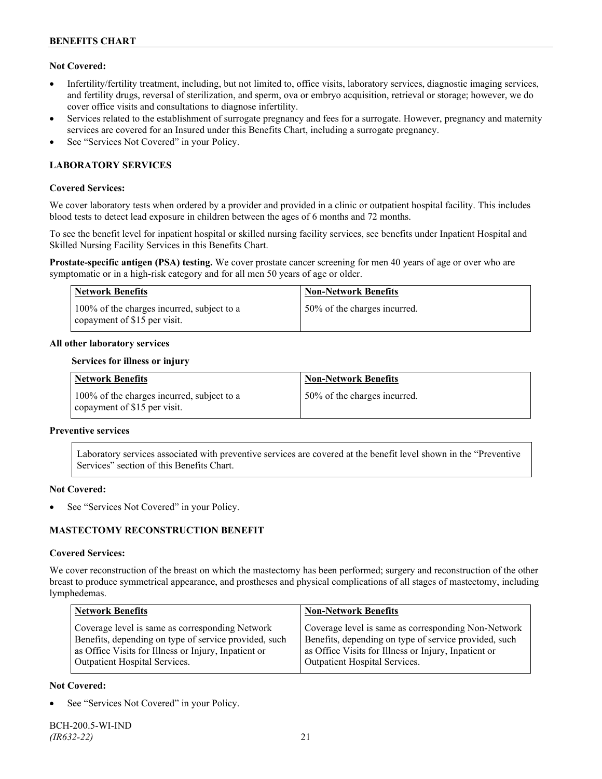# **Not Covered:**

- Infertility/fertility treatment, including, but not limited to, office visits, laboratory services, diagnostic imaging services, and fertility drugs, reversal of sterilization, and sperm, ova or embryo acquisition, retrieval or storage; however, we do cover office visits and consultations to diagnose infertility.
- Services related to the establishment of surrogate pregnancy and fees for a surrogate. However, pregnancy and maternity services are covered for an Insured under this Benefits Chart, including a surrogate pregnancy.
- See "Services Not Covered" in your Policy.

# **LABORATORY SERVICES**

### **Covered Services:**

We cover laboratory tests when ordered by a provider and provided in a clinic or outpatient hospital facility. This includes blood tests to detect lead exposure in children between the ages of 6 months and 72 months.

To see the benefit level for inpatient hospital or skilled nursing facility services, see benefits under Inpatient Hospital and Skilled Nursing Facility Services in this Benefits Chart.

**Prostate-specific antigen (PSA) testing.** We cover prostate cancer screening for men 40 years of age or over who are symptomatic or in a high-risk category and for all men 50 years of age or older.

| <b>Network Benefits</b>                                                    | <b>Non-Network Benefits</b>  |
|----------------------------------------------------------------------------|------------------------------|
| 100% of the charges incurred, subject to a<br>copayment of \$15 per visit. | 50% of the charges incurred. |

### **All other laboratory services**

#### **Services for illness or injury**

| <b>Network Benefits</b>                                                    | <b>Non-Network Benefits</b>  |
|----------------------------------------------------------------------------|------------------------------|
| 100% of the charges incurred, subject to a<br>copayment of \$15 per visit. | 50% of the charges incurred. |

#### **Preventive services**

Laboratory services associated with preventive services are covered at the benefit level shown in the "Preventive Services" section of this Benefits Chart.

#### **Not Covered:**

See "Services Not Covered" in your Policy.

# **MASTECTOMY RECONSTRUCTION BENEFIT**

#### **Covered Services:**

We cover reconstruction of the breast on which the mastectomy has been performed; surgery and reconstruction of the other breast to produce symmetrical appearance, and prostheses and physical complications of all stages of mastectomy, including lymphedemas.

| <b>Network Benefits</b>                               | <b>Non-Network Benefits</b>                           |
|-------------------------------------------------------|-------------------------------------------------------|
| Coverage level is same as corresponding Network       | Coverage level is same as corresponding Non-Network   |
| Benefits, depending on type of service provided, such | Benefits, depending on type of service provided, such |
| as Office Visits for Illness or Injury, Inpatient or  | as Office Visits for Illness or Injury, Inpatient or  |
| <b>Outpatient Hospital Services.</b>                  | Outpatient Hospital Services.                         |

# **Not Covered:**

See "Services Not Covered" in your Policy.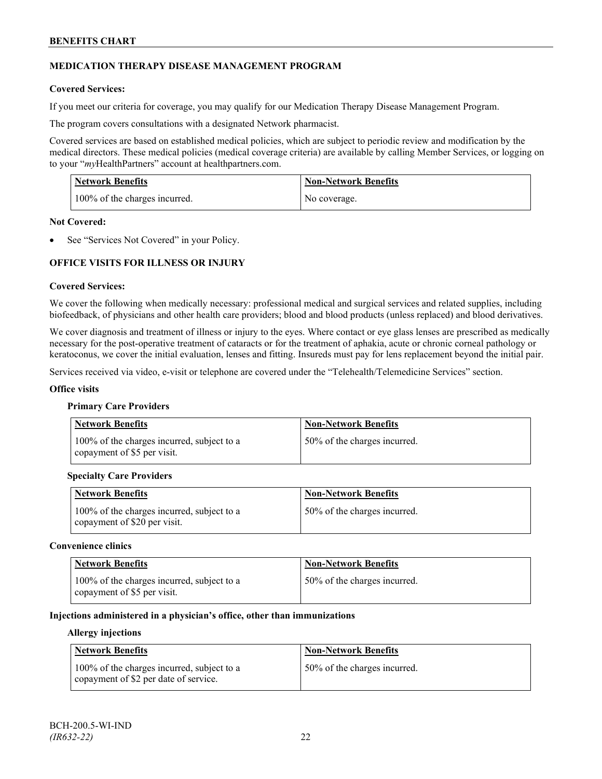# **MEDICATION THERAPY DISEASE MANAGEMENT PROGRAM**

# **Covered Services:**

If you meet our criteria for coverage, you may qualify for our Medication Therapy Disease Management Program.

The program covers consultations with a designated Network pharmacist.

Covered services are based on established medical policies, which are subject to periodic review and modification by the medical directors. These medical policies (medical coverage criteria) are available by calling Member Services, or logging on to your "*my*HealthPartners" account at [healthpartners.com.](http://www.healthpartners.com/)

| <b>Network Benefits</b>       | <b>Non-Network Benefits</b> |
|-------------------------------|-----------------------------|
| 100% of the charges incurred. | No coverage.                |

### **Not Covered:**

See "Services Not Covered" in your Policy.

# **OFFICE VISITS FOR ILLNESS OR INJURY**

### **Covered Services:**

We cover the following when medically necessary: professional medical and surgical services and related supplies, including biofeedback, of physicians and other health care providers; blood and blood products (unless replaced) and blood derivatives.

We cover diagnosis and treatment of illness or injury to the eyes. Where contact or eye glass lenses are prescribed as medically necessary for the post-operative treatment of cataracts or for the treatment of aphakia, acute or chronic corneal pathology or keratoconus, we cover the initial evaluation, lenses and fitting. Insureds must pay for lens replacement beyond the initial pair.

Services received via video, e-visit or telephone are covered under the "Telehealth/Telemedicine Services" section.

#### **Office visits**

#### **Primary Care Providers**

| <b>Network Benefits</b>                                                   | <b>Non-Network Benefits</b>  |
|---------------------------------------------------------------------------|------------------------------|
| 100% of the charges incurred, subject to a<br>copayment of \$5 per visit. | 50% of the charges incurred. |

# **Specialty Care Providers**

| Network Benefits                                                             | <b>Non-Network Benefits</b>  |
|------------------------------------------------------------------------------|------------------------------|
| 100% of the charges incurred, subject to a<br>I copayment of \$20 per visit. | 50% of the charges incurred. |

#### **Convenience clinics**

| <b>Network Benefits</b>                                                   | <b>Non-Network Benefits</b>  |
|---------------------------------------------------------------------------|------------------------------|
| 100% of the charges incurred, subject to a<br>copayment of \$5 per visit. | 50% of the charges incurred. |

### **Injections administered in a physician's office, other than immunizations**

#### **Allergy injections**

| <b>Network Benefits</b>                                                             | Non-Network Benefits         |
|-------------------------------------------------------------------------------------|------------------------------|
| 100% of the charges incurred, subject to a<br>copayment of \$2 per date of service. | 50% of the charges incurred. |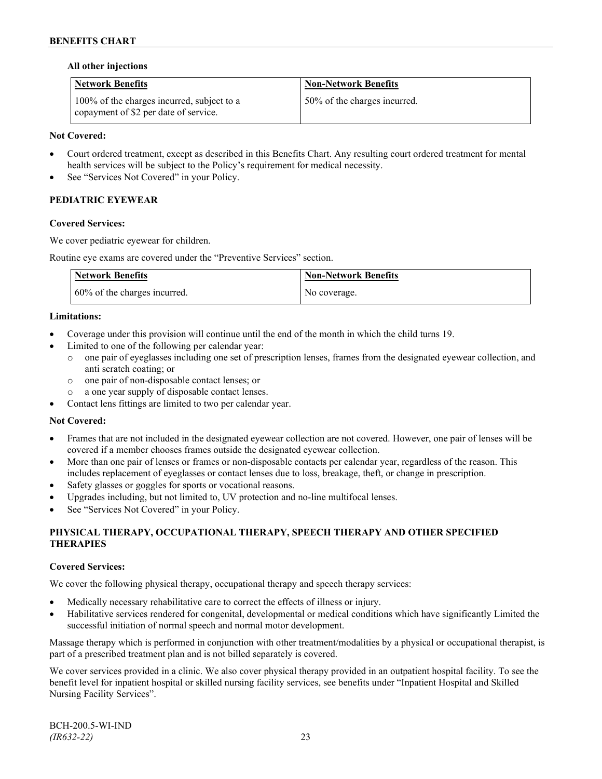### **All other injections**

| <b>Network Benefits</b>                                                             | <b>Non-Network Benefits</b>  |
|-------------------------------------------------------------------------------------|------------------------------|
| 100% of the charges incurred, subject to a<br>copayment of \$2 per date of service. | 50% of the charges incurred. |

# **Not Covered:**

- Court ordered treatment, except as described in this Benefits Chart. Any resulting court ordered treatment for mental health services will be subject to the Policy's requirement for medical necessity.
- See "Services Not Covered" in your Policy.

# **PEDIATRIC EYEWEAR**

### **Covered Services:**

We cover pediatric eyewear for children.

Routine eye exams are covered under the "Preventive Services" section.

| <b>Network Benefits</b>      | <b>Non-Network Benefits</b> |
|------------------------------|-----------------------------|
| 60% of the charges incurred. | No coverage.                |

### **Limitations:**

- Coverage under this provision will continue until the end of the month in which the child turns 19.
- Limited to one of the following per calendar year:
	- o one pair of eyeglasses including one set of prescription lenses, frames from the designated eyewear collection, and anti scratch coating; or
	- o one pair of non-disposable contact lenses; or
	- a one year supply of disposable contact lenses.
- Contact lens fittings are limited to two per calendar year.

#### **Not Covered:**

- Frames that are not included in the designated eyewear collection are not covered. However, one pair of lenses will be covered if a member chooses frames outside the designated eyewear collection.
- More than one pair of lenses or frames or non-disposable contacts per calendar year, regardless of the reason. This includes replacement of eyeglasses or contact lenses due to loss, breakage, theft, or change in prescription.
- Safety glasses or goggles for sports or vocational reasons.
- Upgrades including, but not limited to, UV protection and no-line multifocal lenses.
- See "Services Not Covered" in your Policy.

# **PHYSICAL THERAPY, OCCUPATIONAL THERAPY, SPEECH THERAPY AND OTHER SPECIFIED THERAPIES**

# **Covered Services:**

We cover the following physical therapy, occupational therapy and speech therapy services:

- Medically necessary rehabilitative care to correct the effects of illness or injury.
- Habilitative services rendered for congenital, developmental or medical conditions which have significantly Limited the successful initiation of normal speech and normal motor development.

Massage therapy which is performed in conjunction with other treatment/modalities by a physical or occupational therapist, is part of a prescribed treatment plan and is not billed separately is covered.

We cover services provided in a clinic. We also cover physical therapy provided in an outpatient hospital facility. To see the benefit level for inpatient hospital or skilled nursing facility services, see benefits under "Inpatient Hospital and Skilled Nursing Facility Services".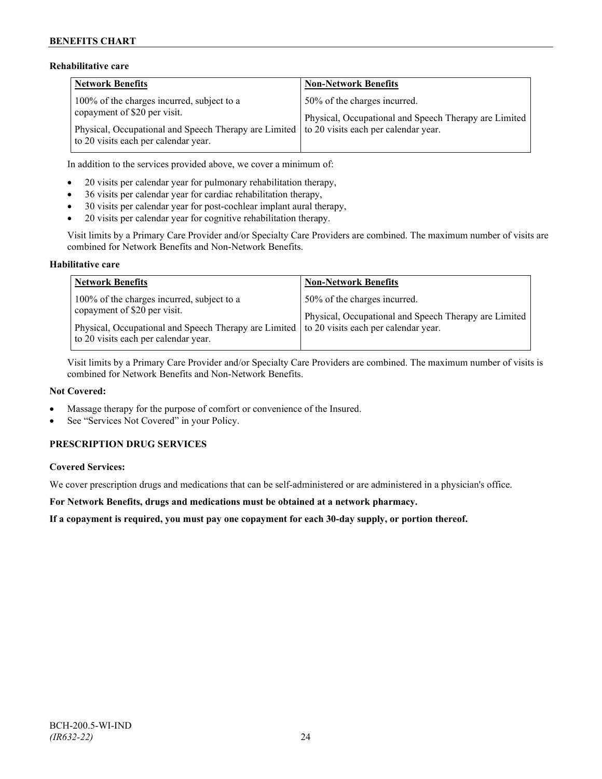# **Rehabilitative care**

| <b>Network Benefits</b>                                                                                                            | <b>Non-Network Benefits</b>                                                           |
|------------------------------------------------------------------------------------------------------------------------------------|---------------------------------------------------------------------------------------|
| 100% of the charges incurred, subject to a<br>copayment of \$20 per visit.                                                         | 50% of the charges incurred.<br>Physical, Occupational and Speech Therapy are Limited |
| Physical, Occupational and Speech Therapy are Limited to 20 visits each per calendar year.<br>to 20 visits each per calendar year. |                                                                                       |

In addition to the services provided above, we cover a minimum of:

- 20 visits per calendar year for pulmonary rehabilitation therapy,
- 36 visits per calendar year for cardiac rehabilitation therapy,
- 30 visits per calendar year for post-cochlear implant aural therapy,
- 20 visits per calendar year for cognitive rehabilitation therapy.

Visit limits by a Primary Care Provider and/or Specialty Care Providers are combined. The maximum number of visits are combined for Network Benefits and Non-Network Benefits.

### **Habilitative care**

| <b>Network Benefits</b>                                                                                                                                                                                          | <b>Non-Network Benefits</b>                                                           |
|------------------------------------------------------------------------------------------------------------------------------------------------------------------------------------------------------------------|---------------------------------------------------------------------------------------|
| 100% of the charges incurred, subject to a<br>copayment of \$20 per visit.<br>Physical, Occupational and Speech Therapy are Limited to 20 visits each per calendar year.<br>to 20 visits each per calendar year. | 50% of the charges incurred.<br>Physical, Occupational and Speech Therapy are Limited |

Visit limits by a Primary Care Provider and/or Specialty Care Providers are combined. The maximum number of visits is combined for Network Benefits and Non-Network Benefits.

#### **Not Covered:**

- Massage therapy for the purpose of comfort or convenience of the Insured.
- See "Services Not Covered" in your Policy.

# **PRESCRIPTION DRUG SERVICES**

# **Covered Services:**

We cover prescription drugs and medications that can be self-administered or are administered in a physician's office.

**For Network Benefits, drugs and medications must be obtained at a network pharmacy.**

**If a copayment is required, you must pay one copayment for each 30-day supply, or portion thereof.**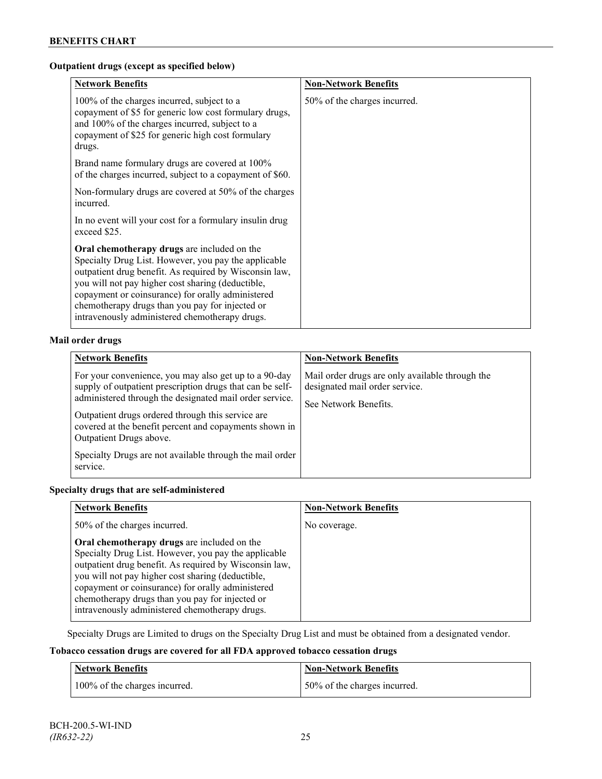# **Outpatient drugs (except as specified below)**

| <b>Network Benefits</b>                                                                                                                                                                                                                                                                                                                                                      | <b>Non-Network Benefits</b>  |
|------------------------------------------------------------------------------------------------------------------------------------------------------------------------------------------------------------------------------------------------------------------------------------------------------------------------------------------------------------------------------|------------------------------|
| 100% of the charges incurred, subject to a<br>copayment of \$5 for generic low cost formulary drugs,<br>and 100% of the charges incurred, subject to a<br>copayment of \$25 for generic high cost formulary<br>drugs.                                                                                                                                                        | 50% of the charges incurred. |
| Brand name formulary drugs are covered at 100%<br>of the charges incurred, subject to a copayment of \$60.                                                                                                                                                                                                                                                                   |                              |
| Non-formulary drugs are covered at 50% of the charges<br>incurred.                                                                                                                                                                                                                                                                                                           |                              |
| In no event will your cost for a formulary insulin drug<br>exceed \$25.                                                                                                                                                                                                                                                                                                      |                              |
| Oral chemotherapy drugs are included on the<br>Specialty Drug List. However, you pay the applicable<br>outpatient drug benefit. As required by Wisconsin law,<br>you will not pay higher cost sharing (deductible,<br>copayment or coinsurance) for orally administered<br>chemotherapy drugs than you pay for injected or<br>intravenously administered chemotherapy drugs. |                              |

# **Mail order drugs**

| <b>Network Benefits</b>                                                                                                                                                                                                                                                                                                                                                                         | <b>Non-Network Benefits</b>                                                                                |
|-------------------------------------------------------------------------------------------------------------------------------------------------------------------------------------------------------------------------------------------------------------------------------------------------------------------------------------------------------------------------------------------------|------------------------------------------------------------------------------------------------------------|
| For your convenience, you may also get up to a 90-day<br>supply of outpatient prescription drugs that can be self-<br>administered through the designated mail order service.<br>Outpatient drugs ordered through this service are<br>covered at the benefit percent and copayments shown in<br>Outpatient Drugs above.<br>Specialty Drugs are not available through the mail order<br>service. | Mail order drugs are only available through the<br>designated mail order service.<br>See Network Benefits. |

# **Specialty drugs that are self-administered**

| <b>Network Benefits</b>                                                                                                                                                                                                                                                                                                                                                      | <b>Non-Network Benefits</b> |
|------------------------------------------------------------------------------------------------------------------------------------------------------------------------------------------------------------------------------------------------------------------------------------------------------------------------------------------------------------------------------|-----------------------------|
| 50% of the charges incurred.                                                                                                                                                                                                                                                                                                                                                 | No coverage.                |
| Oral chemotherapy drugs are included on the<br>Specialty Drug List. However, you pay the applicable<br>outpatient drug benefit. As required by Wisconsin law,<br>you will not pay higher cost sharing (deductible,<br>copayment or coinsurance) for orally administered<br>chemotherapy drugs than you pay for injected or<br>intravenously administered chemotherapy drugs. |                             |

Specialty Drugs are Limited to drugs on the Specialty Drug List and must be obtained from a designated vendor.

# **Tobacco cessation drugs are covered for all FDA approved tobacco cessation drugs**

| <b>Network Benefits</b>       | Non-Network Benefits         |
|-------------------------------|------------------------------|
| 100% of the charges incurred. | 50% of the charges incurred. |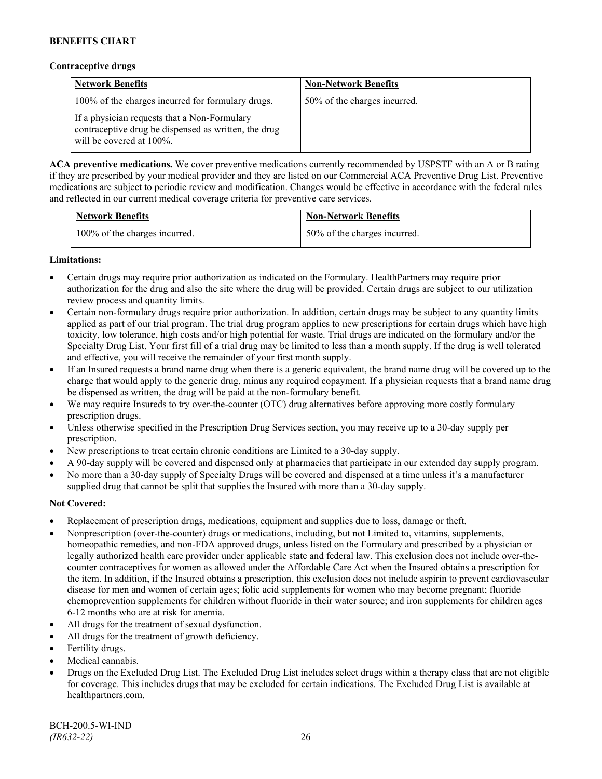### **Contraceptive drugs**

| <b>Network Benefits</b>                                                                                                          | <b>Non-Network Benefits</b>  |
|----------------------------------------------------------------------------------------------------------------------------------|------------------------------|
| 100% of the charges incurred for formulary drugs.                                                                                | 50% of the charges incurred. |
| If a physician requests that a Non-Formulary<br>contraceptive drug be dispensed as written, the drug<br>will be covered at 100%. |                              |

**ACA preventive medications.** We cover preventive medications currently recommended by USPSTF with an A or B rating if they are prescribed by your medical provider and they are listed on our Commercial ACA Preventive Drug List. Preventive medications are subject to periodic review and modification. Changes would be effective in accordance with the federal rules and reflected in our current medical coverage criteria for preventive care services.

| <b>Network Benefits</b>       | <b>Non-Network Benefits</b>  |
|-------------------------------|------------------------------|
| 100% of the charges incurred. | 50% of the charges incurred. |

# **Limitations:**

- Certain drugs may require prior authorization as indicated on the Formulary. HealthPartners may require prior authorization for the drug and also the site where the drug will be provided. Certain drugs are subject to our utilization review process and quantity limits.
- Certain non-formulary drugs require prior authorization. In addition, certain drugs may be subject to any quantity limits applied as part of our trial program. The trial drug program applies to new prescriptions for certain drugs which have high toxicity, low tolerance, high costs and/or high potential for waste. Trial drugs are indicated on the formulary and/or the Specialty Drug List. Your first fill of a trial drug may be limited to less than a month supply. If the drug is well tolerated and effective, you will receive the remainder of your first month supply.
- If an Insured requests a brand name drug when there is a generic equivalent, the brand name drug will be covered up to the charge that would apply to the generic drug, minus any required copayment. If a physician requests that a brand name drug be dispensed as written, the drug will be paid at the non-formulary benefit.
- We may require Insureds to try over-the-counter (OTC) drug alternatives before approving more costly formulary prescription drugs.
- Unless otherwise specified in the Prescription Drug Services section, you may receive up to a 30-day supply per prescription.
- New prescriptions to treat certain chronic conditions are Limited to a 30-day supply.
- A 90-day supply will be covered and dispensed only at pharmacies that participate in our extended day supply program.
- No more than a 30-day supply of Specialty Drugs will be covered and dispensed at a time unless it's a manufacturer supplied drug that cannot be split that supplies the Insured with more than a 30-day supply.

# **Not Covered:**

- Replacement of prescription drugs, medications, equipment and supplies due to loss, damage or theft.
- Nonprescription (over-the-counter) drugs or medications, including, but not Limited to, vitamins, supplements, homeopathic remedies, and non-FDA approved drugs, unless listed on the Formulary and prescribed by a physician or legally authorized health care provider under applicable state and federal law. This exclusion does not include over-thecounter contraceptives for women as allowed under the Affordable Care Act when the Insured obtains a prescription for the item. In addition, if the Insured obtains a prescription, this exclusion does not include aspirin to prevent cardiovascular disease for men and women of certain ages; folic acid supplements for women who may become pregnant; fluoride chemoprevention supplements for children without fluoride in their water source; and iron supplements for children ages 6-12 months who are at risk for anemia.
- All drugs for the treatment of sexual dysfunction.
- All drugs for the treatment of growth deficiency.
- Fertility drugs.
- Medical cannabis.
- Drugs on the Excluded Drug List. The Excluded Drug List includes select drugs within a therapy class that are not eligible for coverage. This includes drugs that may be excluded for certain indications. The Excluded Drug List is available at [healthpartners.com.](http://www.healthpartners.com/)

BCH-200.5-WI-IND *(IR632-22)* 26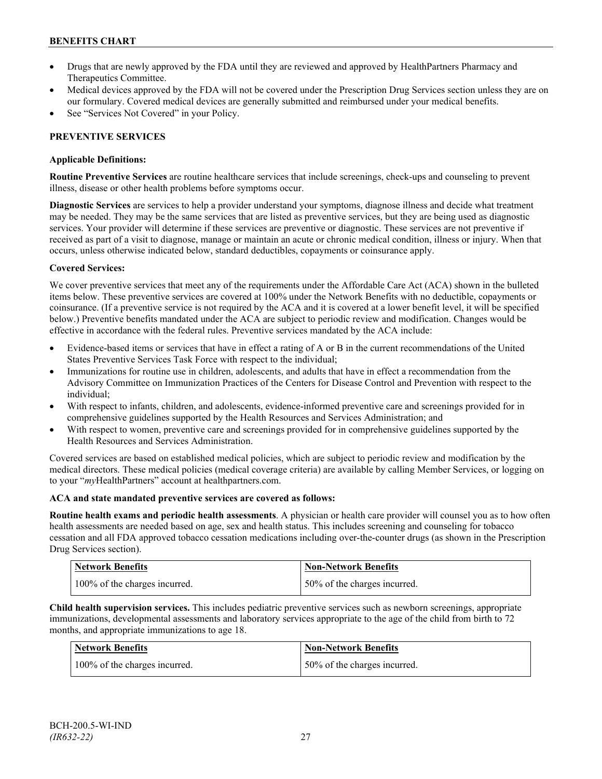- Drugs that are newly approved by the FDA until they are reviewed and approved by HealthPartners Pharmacy and Therapeutics Committee.
- Medical devices approved by the FDA will not be covered under the Prescription Drug Services section unless they are on our formulary. Covered medical devices are generally submitted and reimbursed under your medical benefits.
- See "Services Not Covered" in your Policy.

# **PREVENTIVE SERVICES**

# **Applicable Definitions:**

**Routine Preventive Services** are routine healthcare services that include screenings, check-ups and counseling to prevent illness, disease or other health problems before symptoms occur.

**Diagnostic Services** are services to help a provider understand your symptoms, diagnose illness and decide what treatment may be needed. They may be the same services that are listed as preventive services, but they are being used as diagnostic services. Your provider will determine if these services are preventive or diagnostic. These services are not preventive if received as part of a visit to diagnose, manage or maintain an acute or chronic medical condition, illness or injury. When that occurs, unless otherwise indicated below, standard deductibles, copayments or coinsurance apply.

# **Covered Services:**

We cover preventive services that meet any of the requirements under the Affordable Care Act (ACA) shown in the bulleted items below. These preventive services are covered at 100% under the Network Benefits with no deductible, copayments or coinsurance. (If a preventive service is not required by the ACA and it is covered at a lower benefit level, it will be specified below.) Preventive benefits mandated under the ACA are subject to periodic review and modification. Changes would be effective in accordance with the federal rules. Preventive services mandated by the ACA include:

- Evidence-based items or services that have in effect a rating of A or B in the current recommendations of the United States Preventive Services Task Force with respect to the individual;
- Immunizations for routine use in children, adolescents, and adults that have in effect a recommendation from the Advisory Committee on Immunization Practices of the Centers for Disease Control and Prevention with respect to the individual;
- With respect to infants, children, and adolescents, evidence-informed preventive care and screenings provided for in comprehensive guidelines supported by the Health Resources and Services Administration; and
- With respect to women, preventive care and screenings provided for in comprehensive guidelines supported by the Health Resources and Services Administration.

Covered services are based on established medical policies, which are subject to periodic review and modification by the medical directors. These medical policies (medical coverage criteria) are available by calling Member Services, or logging on to your "*my*HealthPartners" account at [healthpartners.com.](http://www.healthpartners.com/)

# **ACA and state mandated preventive services are covered as follows:**

**Routine health exams and periodic health assessments**. A physician or health care provider will counsel you as to how often health assessments are needed based on age, sex and health status. This includes screening and counseling for tobacco cessation and all FDA approved tobacco cessation medications including over-the-counter drugs (as shown in the Prescription Drug Services section).

| <b>Network Benefits</b>       | Non-Network Benefits         |
|-------------------------------|------------------------------|
| 100% of the charges incurred. | 50% of the charges incurred. |

**Child health supervision services.** This includes pediatric preventive services such as newborn screenings, appropriate immunizations, developmental assessments and laboratory services appropriate to the age of the child from birth to 72 months, and appropriate immunizations to age 18.

| Network Benefits              | <b>Non-Network Benefits</b>  |
|-------------------------------|------------------------------|
| 100% of the charges incurred. | 50% of the charges incurred. |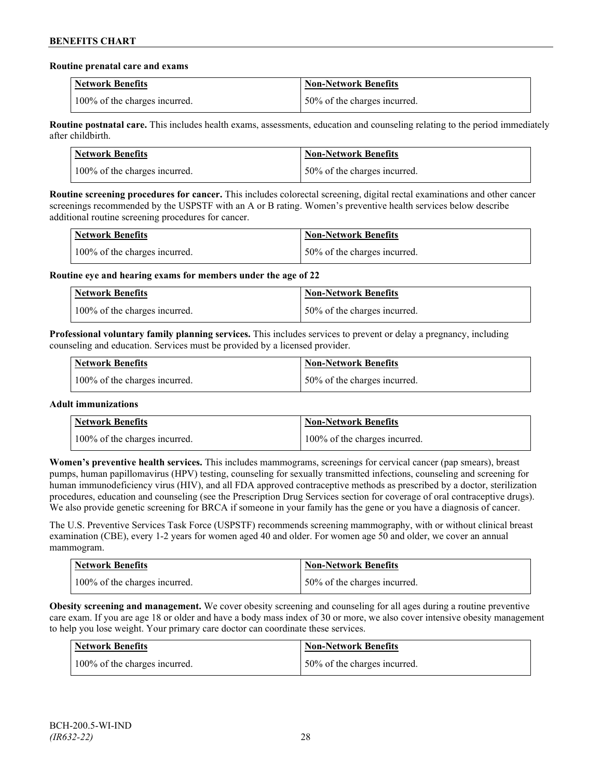### **Routine prenatal care and exams**

| <b>Network Benefits</b>       | <b>Non-Network Benefits</b>  |
|-------------------------------|------------------------------|
| 100% of the charges incurred. | 50% of the charges incurred. |

**Routine postnatal care.** This includes health exams, assessments, education and counseling relating to the period immediately after childbirth.

| <b>Network Benefits</b>       | <b>Non-Network Benefits</b>  |
|-------------------------------|------------------------------|
| 100% of the charges incurred. | 50% of the charges incurred. |

**Routine screening procedures for cancer.** This includes colorectal screening, digital rectal examinations and other cancer screenings recommended by the USPSTF with an A or B rating. Women's preventive health services below describe additional routine screening procedures for cancer.

| <b>Network Benefits</b>       | <b>Non-Network Benefits</b>  |
|-------------------------------|------------------------------|
| 100% of the charges incurred. | 50% of the charges incurred. |

**Routine eye and hearing exams for members under the age of 22**

| <b>Network Benefits</b>       | <b>Non-Network Benefits</b>  |
|-------------------------------|------------------------------|
| 100% of the charges incurred. | 50% of the charges incurred. |

**Professional voluntary family planning services.** This includes services to prevent or delay a pregnancy, including counseling and education. Services must be provided by a licensed provider.

| Network Benefits              | <b>Non-Network Benefits</b>  |
|-------------------------------|------------------------------|
| 100% of the charges incurred. | 50% of the charges incurred. |

# **Adult immunizations**

| <b>Network Benefits</b>       | <b>Non-Network Benefits</b>   |
|-------------------------------|-------------------------------|
| 100% of the charges incurred. | 100% of the charges incurred. |

**Women's preventive health services.** This includes mammograms, screenings for cervical cancer (pap smears), breast pumps, human papillomavirus (HPV) testing, counseling for sexually transmitted infections, counseling and screening for human immunodeficiency virus (HIV), and all FDA approved contraceptive methods as prescribed by a doctor, sterilization procedures, education and counseling (see the Prescription Drug Services section for coverage of oral contraceptive drugs). We also provide genetic screening for BRCA if someone in your family has the gene or you have a diagnosis of cancer.

The U.S. Preventive Services Task Force (USPSTF) recommends screening mammography, with or without clinical breast examination (CBE), every 1-2 years for women aged 40 and older. For women age 50 and older, we cover an annual mammogram.

| <b>Network Benefits</b>       | Non-Network Benefits         |
|-------------------------------|------------------------------|
| 100% of the charges incurred. | 50% of the charges incurred. |

**Obesity screening and management.** We cover obesity screening and counseling for all ages during a routine preventive care exam. If you are age 18 or older and have a body mass index of 30 or more, we also cover intensive obesity management to help you lose weight. Your primary care doctor can coordinate these services.

| Network Benefits              | <b>Non-Network Benefits</b>  |
|-------------------------------|------------------------------|
| 100% of the charges incurred. | 50% of the charges incurred. |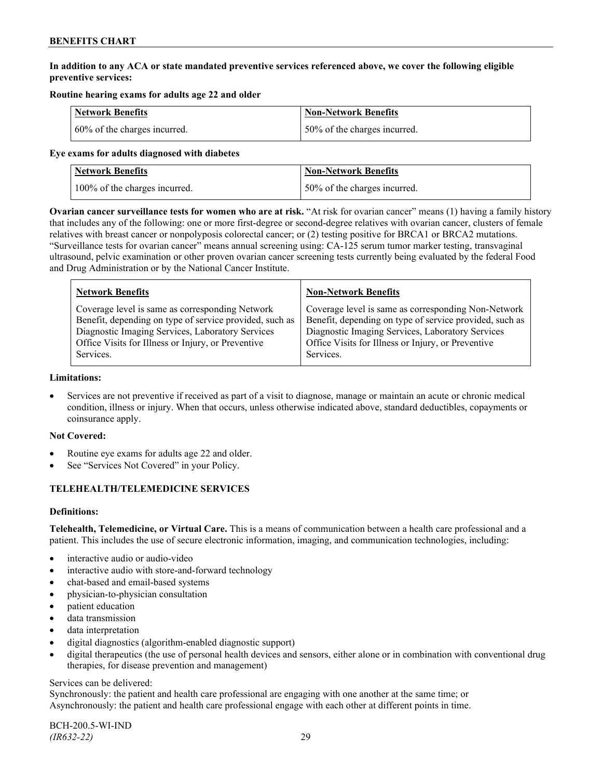# **In addition to any ACA or state mandated preventive services referenced above, we cover the following eligible preventive services:**

# **Routine hearing exams for adults age 22 and older**

| <b>Network Benefits</b>      | <b>Non-Network Benefits</b>  |
|------------------------------|------------------------------|
| 60% of the charges incurred. | 50% of the charges incurred. |

### **Eye exams for adults diagnosed with diabetes**

| Network Benefits              | <b>Non-Network Benefits</b>  |
|-------------------------------|------------------------------|
| 100% of the charges incurred. | 50% of the charges incurred. |

**Ovarian cancer surveillance tests for women who are at risk.** "At risk for ovarian cancer" means (1) having a family history that includes any of the following: one or more first-degree or second-degree relatives with ovarian cancer, clusters of female relatives with breast cancer or nonpolyposis colorectal cancer; or (2) testing positive for BRCA1 or BRCA2 mutations. "Surveillance tests for ovarian cancer" means annual screening using: CA-125 serum tumor marker testing, transvaginal ultrasound, pelvic examination or other proven ovarian cancer screening tests currently being evaluated by the federal Food and Drug Administration or by the National Cancer Institute.

| <b>Network Benefits</b>                                 | <b>Non-Network Benefits</b>                             |
|---------------------------------------------------------|---------------------------------------------------------|
| Coverage level is same as corresponding Network         | Coverage level is same as corresponding Non-Network     |
| Benefit, depending on type of service provided, such as | Benefit, depending on type of service provided, such as |
| Diagnostic Imaging Services, Laboratory Services        | Diagnostic Imaging Services, Laboratory Services        |
| Office Visits for Illness or Injury, or Preventive      | Office Visits for Illness or Injury, or Preventive      |
| Services.                                               | Services.                                               |

### **Limitations:**

• Services are not preventive if received as part of a visit to diagnose, manage or maintain an acute or chronic medical condition, illness or injury. When that occurs, unless otherwise indicated above, standard deductibles, copayments or coinsurance apply.

# **Not Covered:**

- Routine eye exams for adults age 22 and older.
- See "Services Not Covered" in your Policy.

# **TELEHEALTH/TELEMEDICINE SERVICES**

# **Definitions:**

**Telehealth, Telemedicine, or Virtual Care.** This is a means of communication between a health care professional and a patient. This includes the use of secure electronic information, imaging, and communication technologies, including:

- interactive audio or audio-video
- interactive audio with store-and-forward technology
- chat-based and email-based systems
- physician-to-physician consultation
- patient education
- data transmission
- data interpretation
- digital diagnostics (algorithm-enabled diagnostic support)
- digital therapeutics (the use of personal health devices and sensors, either alone or in combination with conventional drug therapies, for disease prevention and management)

# Services can be delivered:

Synchronously: the patient and health care professional are engaging with one another at the same time; or Asynchronously: the patient and health care professional engage with each other at different points in time.

BCH-200.5-WI-IND *(IR632-22)* 29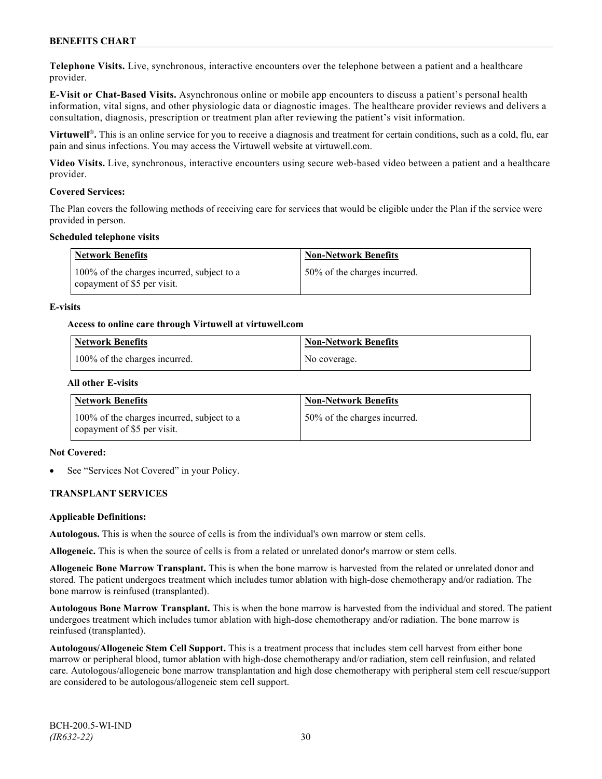**Telephone Visits.** Live, synchronous, interactive encounters over the telephone between a patient and a healthcare provider.

**E-Visit or Chat-Based Visits.** Asynchronous online or mobile app encounters to discuss a patient's personal health information, vital signs, and other physiologic data or diagnostic images. The healthcare provider reviews and delivers a consultation, diagnosis, prescription or treatment plan after reviewing the patient's visit information.

**Virtuwell<sup>®</sup>**. This is an online service for you to receive a diagnosis and treatment for certain conditions, such as a cold, flu, ear pain and sinus infections. You may access the Virtuwell website at [virtuwell.com.](https://www.virtuwell.com/)

**Video Visits.** Live, synchronous, interactive encounters using secure web-based video between a patient and a healthcare provider.

### **Covered Services:**

The Plan covers the following methods of receiving care for services that would be eligible under the Plan if the service were provided in person.

### **Scheduled telephone visits**

| Network Benefits                                                          | <b>Non-Network Benefits</b>  |
|---------------------------------------------------------------------------|------------------------------|
| 100% of the charges incurred, subject to a<br>copayment of \$5 per visit. | 50% of the charges incurred. |

### **E-visits**

### **Access to online care through Virtuwell at [virtuwell.com](http://www.virtuwell.com/)**

| <b>Network Benefits</b>       | Non-Network Benefits |
|-------------------------------|----------------------|
| 100% of the charges incurred. | No coverage.         |

### **All other E-visits**

| Network Benefits                                                          | <b>Non-Network Benefits</b>  |
|---------------------------------------------------------------------------|------------------------------|
| 100% of the charges incurred, subject to a<br>copayment of \$5 per visit. | 50% of the charges incurred. |

#### **Not Covered:**

See "Services Not Covered" in your Policy.

# **TRANSPLANT SERVICES**

#### **Applicable Definitions:**

**Autologous.** This is when the source of cells is from the individual's own marrow or stem cells.

**Allogeneic.** This is when the source of cells is from a related or unrelated donor's marrow or stem cells.

**Allogeneic Bone Marrow Transplant.** This is when the bone marrow is harvested from the related or unrelated donor and stored. The patient undergoes treatment which includes tumor ablation with high-dose chemotherapy and/or radiation. The bone marrow is reinfused (transplanted).

**Autologous Bone Marrow Transplant.** This is when the bone marrow is harvested from the individual and stored. The patient undergoes treatment which includes tumor ablation with high-dose chemotherapy and/or radiation. The bone marrow is reinfused (transplanted).

**Autologous/Allogeneic Stem Cell Support.** This is a treatment process that includes stem cell harvest from either bone marrow or peripheral blood, tumor ablation with high-dose chemotherapy and/or radiation, stem cell reinfusion, and related care. Autologous/allogeneic bone marrow transplantation and high dose chemotherapy with peripheral stem cell rescue/support are considered to be autologous/allogeneic stem cell support.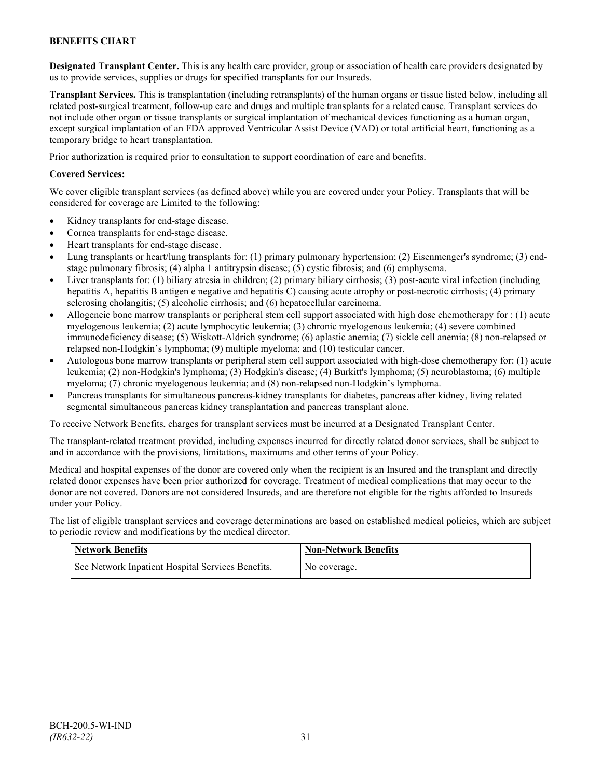**Designated Transplant Center.** This is any health care provider, group or association of health care providers designated by us to provide services, supplies or drugs for specified transplants for our Insureds.

**Transplant Services.** This is transplantation (including retransplants) of the human organs or tissue listed below, including all related post-surgical treatment, follow-up care and drugs and multiple transplants for a related cause. Transplant services do not include other organ or tissue transplants or surgical implantation of mechanical devices functioning as a human organ, except surgical implantation of an FDA approved Ventricular Assist Device (VAD) or total artificial heart, functioning as a temporary bridge to heart transplantation.

Prior authorization is required prior to consultation to support coordination of care and benefits.

### **Covered Services:**

We cover eligible transplant services (as defined above) while you are covered under your Policy. Transplants that will be considered for coverage are Limited to the following:

- Kidney transplants for end-stage disease.
- Cornea transplants for end-stage disease.
- Heart transplants for end-stage disease.
- Lung transplants or heart/lung transplants for: (1) primary pulmonary hypertension; (2) Eisenmenger's syndrome; (3) endstage pulmonary fibrosis; (4) alpha 1 antitrypsin disease; (5) cystic fibrosis; and (6) emphysema.
- Liver transplants for: (1) biliary atresia in children; (2) primary biliary cirrhosis; (3) post-acute viral infection (including hepatitis A, hepatitis B antigen e negative and hepatitis C) causing acute atrophy or post-necrotic cirrhosis; (4) primary sclerosing cholangitis; (5) alcoholic cirrhosis; and (6) hepatocellular carcinoma.
- Allogeneic bone marrow transplants or peripheral stem cell support associated with high dose chemotherapy for : (1) acute myelogenous leukemia; (2) acute lymphocytic leukemia; (3) chronic myelogenous leukemia; (4) severe combined immunodeficiency disease; (5) Wiskott-Aldrich syndrome; (6) aplastic anemia; (7) sickle cell anemia; (8) non-relapsed or relapsed non-Hodgkin's lymphoma; (9) multiple myeloma; and (10) testicular cancer.
- Autologous bone marrow transplants or peripheral stem cell support associated with high-dose chemotherapy for: (1) acute leukemia; (2) non-Hodgkin's lymphoma; (3) Hodgkin's disease; (4) Burkitt's lymphoma; (5) neuroblastoma; (6) multiple myeloma; (7) chronic myelogenous leukemia; and (8) non-relapsed non-Hodgkin's lymphoma.
- Pancreas transplants for simultaneous pancreas-kidney transplants for diabetes, pancreas after kidney, living related segmental simultaneous pancreas kidney transplantation and pancreas transplant alone.

To receive Network Benefits, charges for transplant services must be incurred at a Designated Transplant Center.

The transplant-related treatment provided, including expenses incurred for directly related donor services, shall be subject to and in accordance with the provisions, limitations, maximums and other terms of your Policy.

Medical and hospital expenses of the donor are covered only when the recipient is an Insured and the transplant and directly related donor expenses have been prior authorized for coverage. Treatment of medical complications that may occur to the donor are not covered. Donors are not considered Insureds, and are therefore not eligible for the rights afforded to Insureds under your Policy.

The list of eligible transplant services and coverage determinations are based on established medical policies, which are subject to periodic review and modifications by the medical director.

| <b>Network Benefits</b>                           | Non-Network Benefits |
|---------------------------------------------------|----------------------|
| See Network Inpatient Hospital Services Benefits. | No coverage.         |